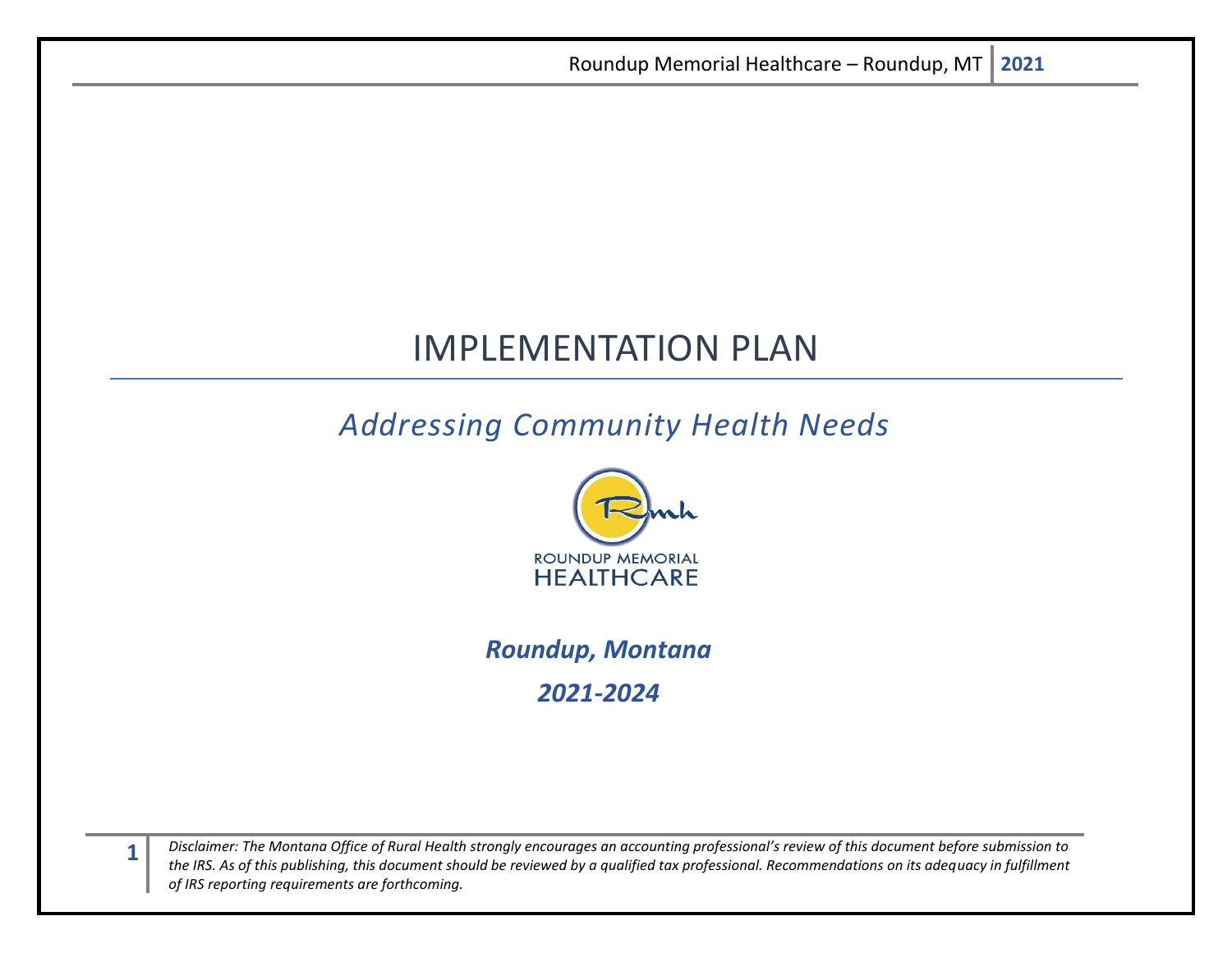# IMPLEMENTATION PLAN

## *Addressing Community Health Needs*



## *Roundup, Montana 2021-2024*

*Disclaimer: The Montana Office of Rural Health strongly encourages an accounting professional's review of this document before submission to the IRS. As of this publishing, this document should be reviewed by a qualified tax professional. Recommendations on its adequacy in fulfillment of IRS reporting requirements are forthcoming.*

**1**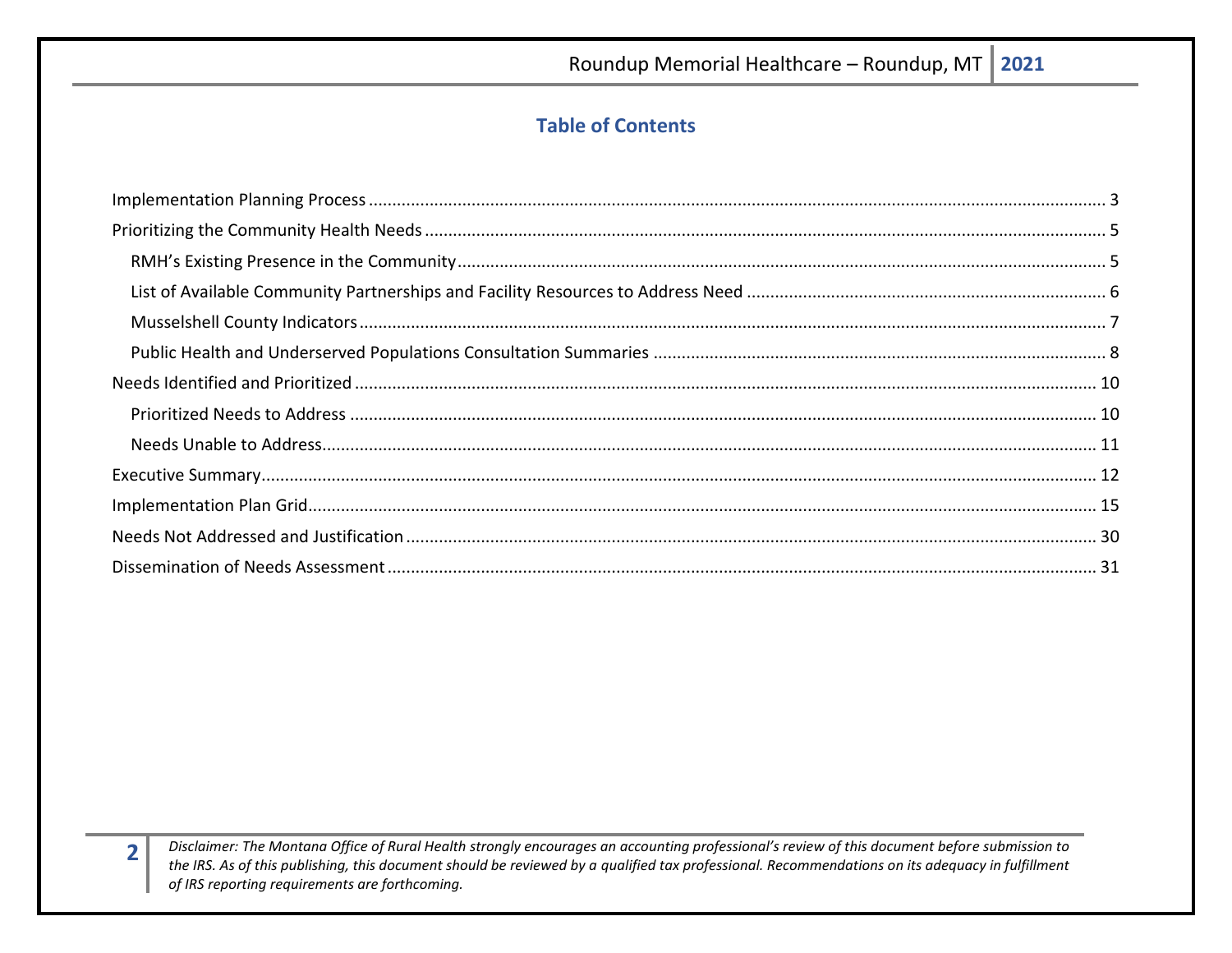## **Table of Contents**

Disclaimer: The Montana Office of Rural Health strongly encourages an accounting professional's review of this document before submission to the IRS. As of this publishing, this document should be reviewed by a qualified tax professional. Recommendations on its adequacy in fulfillment of IRS reporting requirements are forthcoming.

 $\overline{\mathbf{2}}$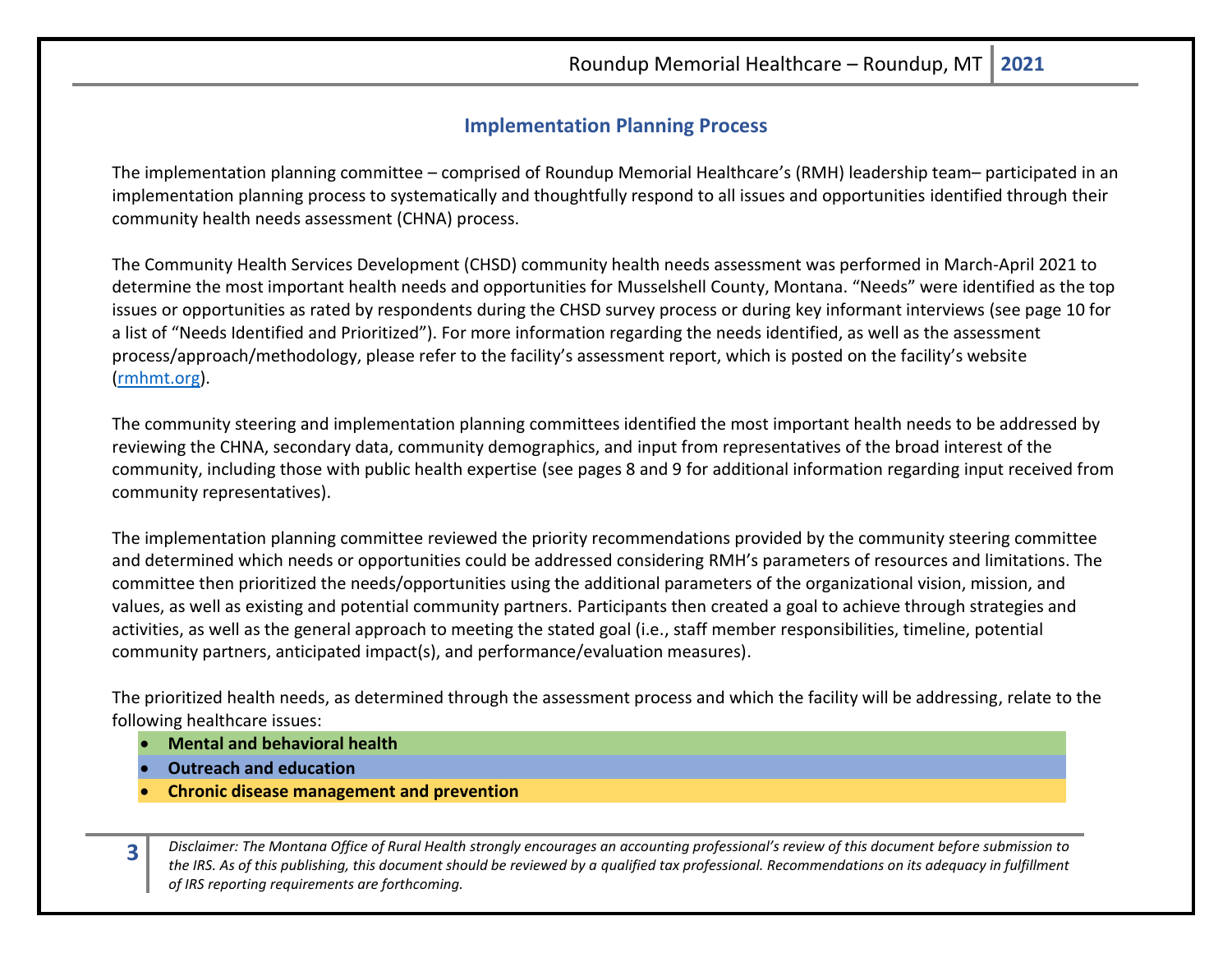## **Implementation Planning Process**

<span id="page-2-0"></span>The implementation planning committee – comprised of Roundup Memorial Healthcare's (RMH) leadership team– participated in an implementation planning process to systematically and thoughtfully respond to all issues and opportunities identified through their community health needs assessment (CHNA) process.

The Community Health Services Development (CHSD) community health needs assessment was performed in March-April 2021 to determine the most important health needs and opportunities for Musselshell County, Montana. "Needs" were identified as the top issues or opportunities as rated by respondents during the CHSD survey process or during key informant interviews (see page 10 for a list of "Needs Identified and Prioritized"). For more information regarding the needs identified, as well as the assessment process/approach/methodology, please refer to the facility's assessment report, which is posted on the facility's website [\(rmhmt.org\)](https://rmhmt.org/).

The community steering and implementation planning committees identified the most important health needs to be addressed by reviewing the CHNA, secondary data, community demographics, and input from representatives of the broad interest of the community, including those with public health expertise (see pages 8 and 9 for additional information regarding input received from community representatives).

The implementation planning committee reviewed the priority recommendations provided by the community steering committee and determined which needs or opportunities could be addressed considering RMH's parameters of resources and limitations. The committee then prioritized the needs/opportunities using the additional parameters of the organizational vision, mission, and values, as well as existing and potential community partners. Participants then created a goal to achieve through strategies and activities, as well as the general approach to meeting the stated goal (i.e., staff member responsibilities, timeline, potential community partners, anticipated impact(s), and performance/evaluation measures).

The prioritized health needs, as determined through the assessment process and which the facility will be addressing, relate to the following healthcare issues:

- **Mental and behavioral health**
- **Outreach and education**
- **Chronic disease management and prevention**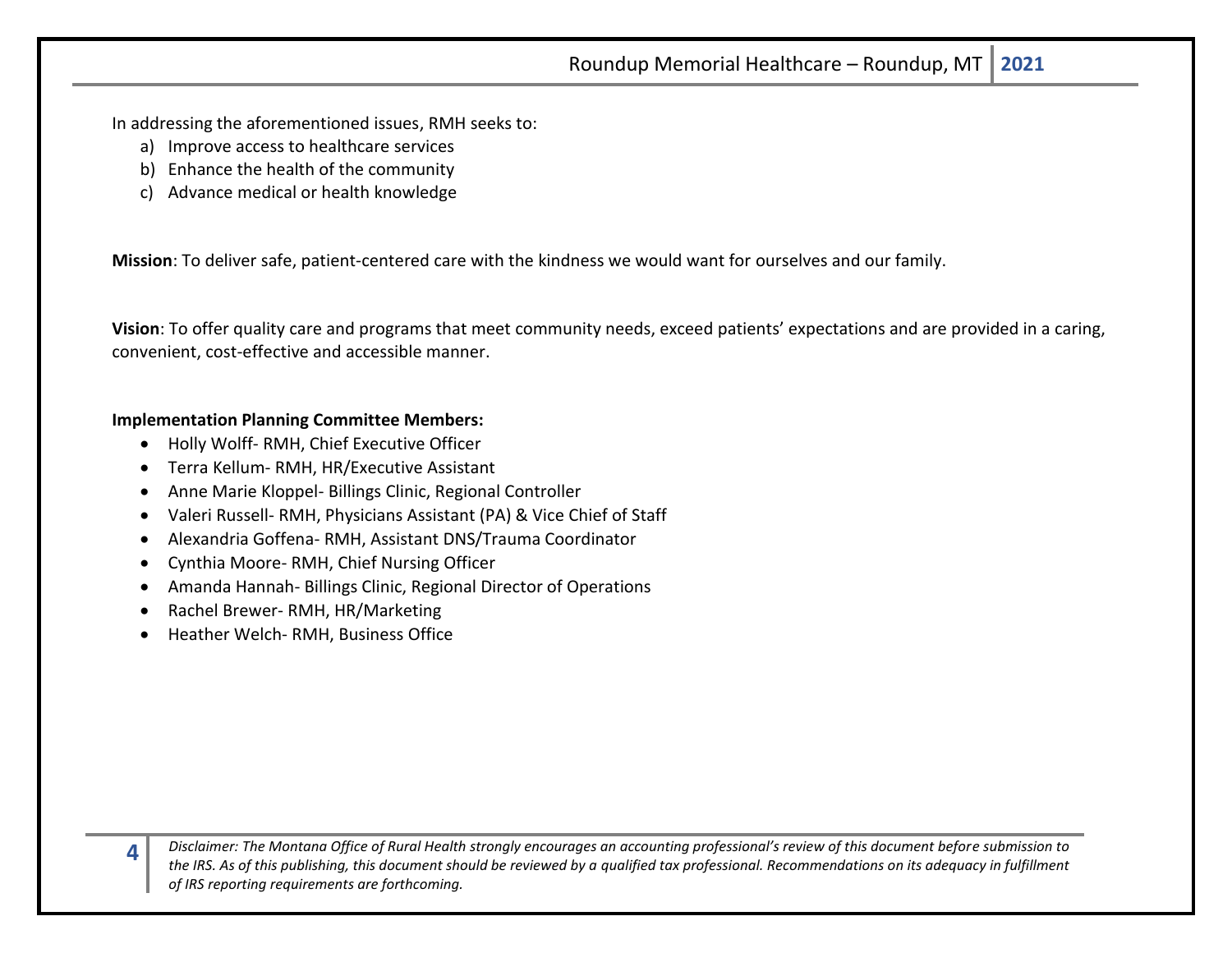In addressing the aforementioned issues, RMH seeks to:

- a) Improve access to healthcare services
- b) Enhance the health of the community
- c) Advance medical or health knowledge

**Mission**: To deliver safe, patient-centered care with the kindness we would want for ourselves and our family.

**Vision**: To offer quality care and programs that meet community needs, exceed patients' expectations and are provided in a caring, convenient, cost-effective and accessible manner.

#### **Implementation Planning Committee Members:**

- Holly Wolff- RMH, Chief Executive Officer
- Terra Kellum- RMH, HR/Executive Assistant
- Anne Marie Kloppel- Billings Clinic, Regional Controller
- Valeri Russell- RMH, Physicians Assistant (PA) & Vice Chief of Staff
- Alexandria Goffena- RMH, Assistant DNS/Trauma Coordinator
- Cynthia Moore- RMH, Chief Nursing Officer
- Amanda Hannah- Billings Clinic, Regional Director of Operations
- Rachel Brewer- RMH, HR/Marketing

**4**

• Heather Welch- RMH, Business Office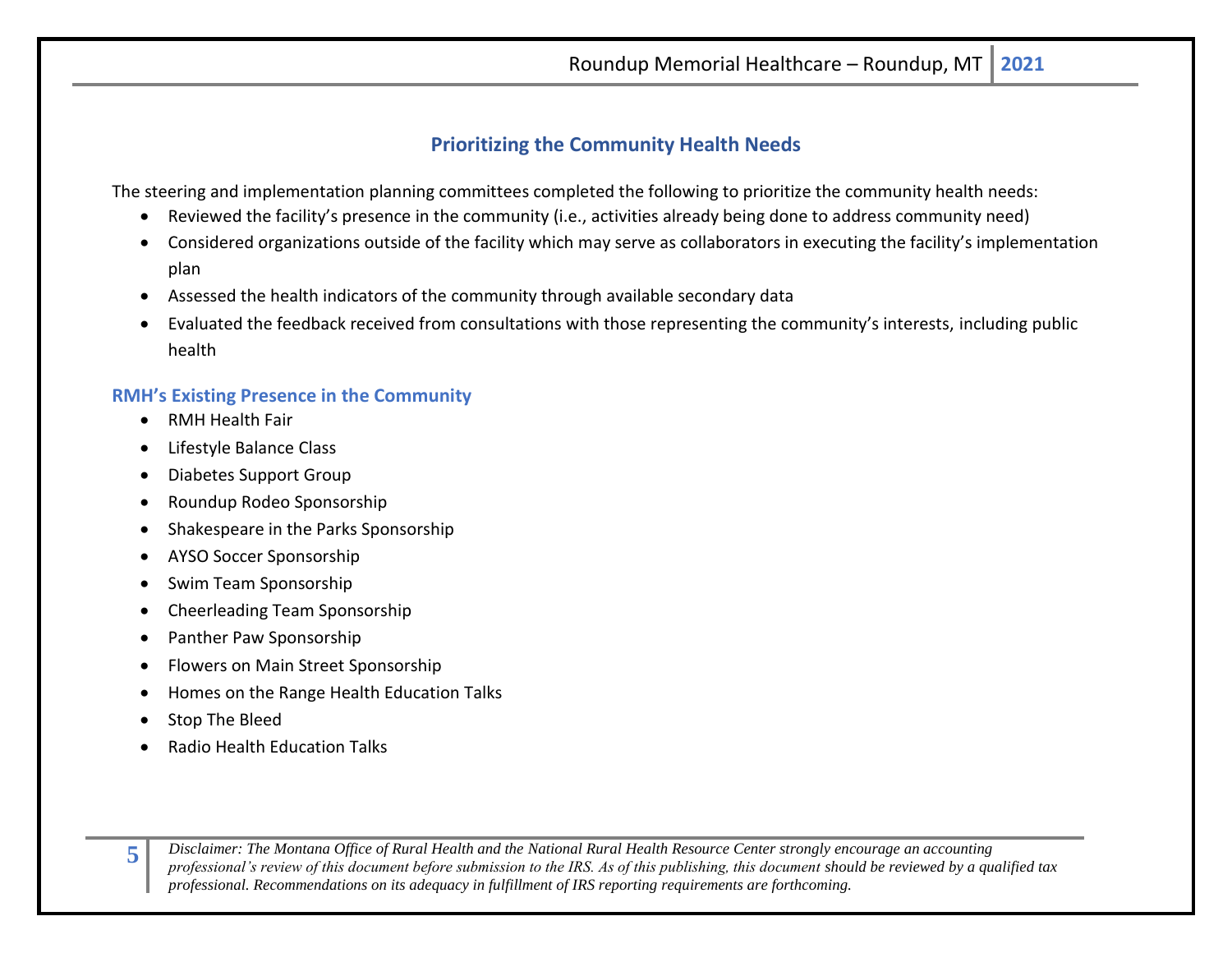## **Prioritizing the Community Health Needs**

<span id="page-4-0"></span>The steering and implementation planning committees completed the following to prioritize the community health needs:

- Reviewed the facility's presence in the community (i.e., activities already being done to address community need)
- Considered organizations outside of the facility which may serve as collaborators in executing the facility's implementation plan
- Assessed the health indicators of the community through available secondary data
- Evaluated the feedback received from consultations with those representing the community's interests, including public health

## <span id="page-4-1"></span>**RMH's Existing Presence in the Community**

- RMH Health Fair
- Lifestyle Balance Class
- Diabetes Support Group
- Roundup Rodeo Sponsorship
- Shakespeare in the Parks Sponsorship
- AYSO Soccer Sponsorship
- Swim Team Sponsorship
- Cheerleading Team Sponsorship
- Panther Paw Sponsorship
- Flowers on Main Street Sponsorship
- Homes on the Range Health Education Talks
- Stop The Bleed

**5**

• Radio Health Education Talks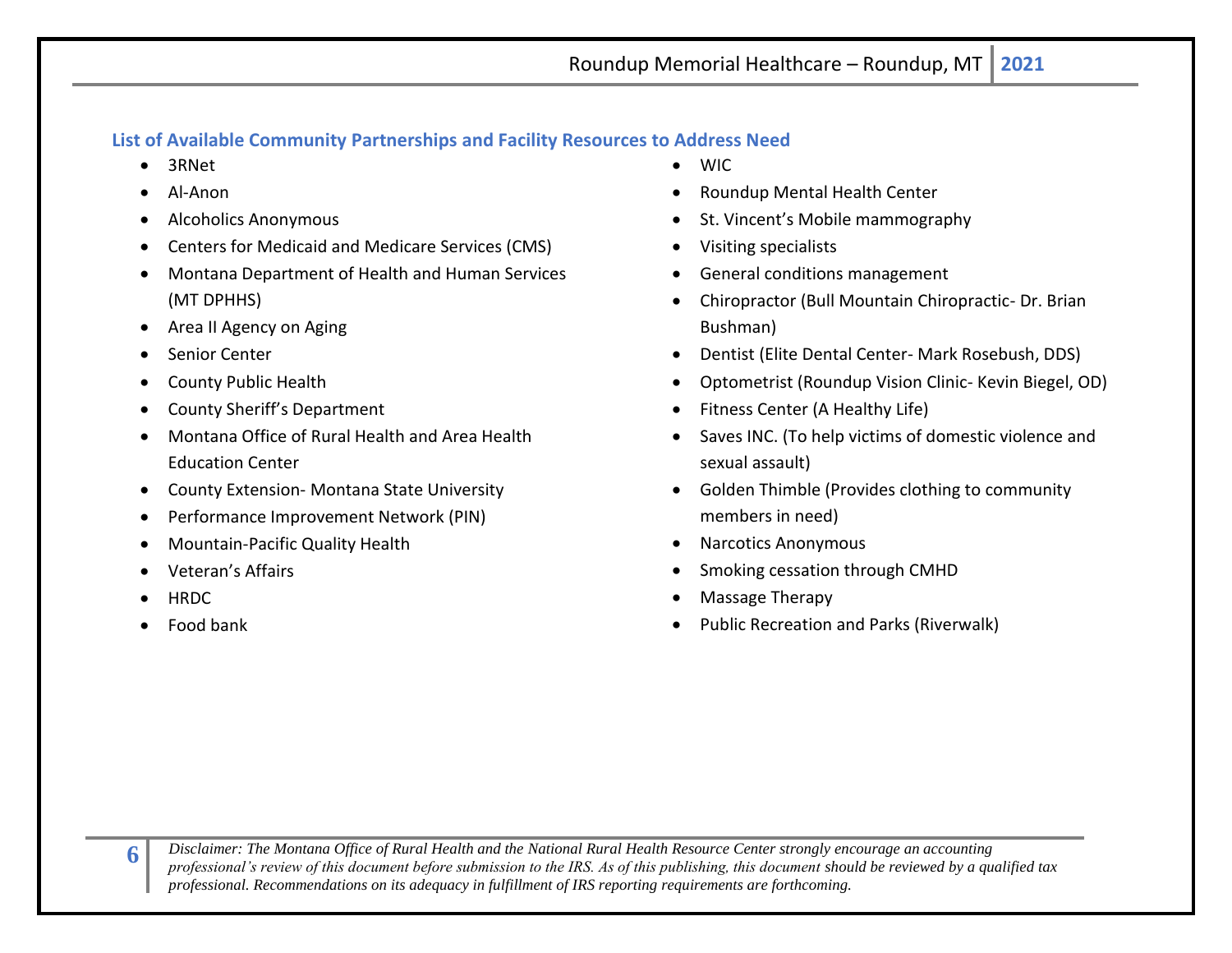## <span id="page-5-0"></span>**List of Available Community Partnerships and Facility Resources to Address Need**

- 3RNet
- Al-Anon
- Alcoholics Anonymous
- Centers for Medicaid and Medicare Services (CMS)
- Montana Department of Health and Human Services (MT DPHHS)
- Area II Agency on Aging
- Senior Center
- County Public Health
- County Sheriff's Department
- Montana Office of Rural Health and Area Health Education Center
- County Extension- Montana State University
- Performance Improvement Network (PIN)
- Mountain-Pacific Quality Health
- Veteran's Affairs
- HRDC
- Food bank
- WIC
- Roundup Mental Health Center
- St. Vincent's Mobile mammography
- Visiting specialists
- General conditions management
- Chiropractor (Bull Mountain Chiropractic- Dr. Brian Bushman)
- Dentist (Elite Dental Center- Mark Rosebush, DDS)
- Optometrist (Roundup Vision Clinic- Kevin Biegel, OD)
- Fitness Center (A Healthy Life)
- Saves INC. (To help victims of domestic violence and sexual assault)
- Golden Thimble (Provides clothing to community members in need)
- Narcotics Anonymous
- Smoking cessation through CMHD
- Massage Therapy
- Public Recreation and Parks (Riverwalk)

*Disclaimer: The Montana Office of Rural Health and the National Rural Health Resource Center strongly encourage an accounting professional's review of this document before submission to the IRS. As of this publishing, this document should be reviewed by a qualified tax professional. Recommendations on its adequacy in fulfillment of IRS reporting requirements are forthcoming.*

**6**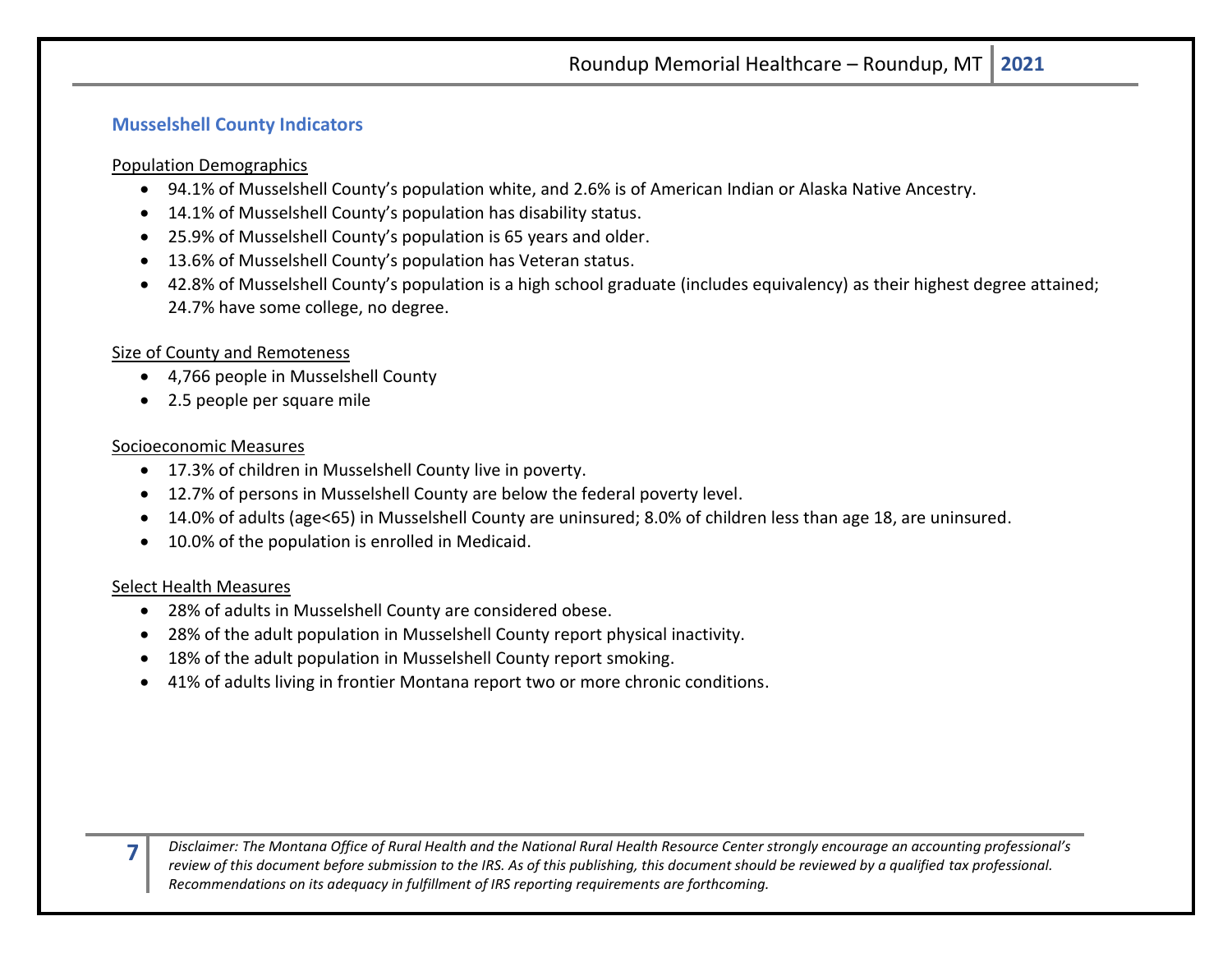## <span id="page-6-0"></span>**Musselshell County Indicators**

Population Demographics

- 94.1% of Musselshell County's population white, and 2.6% is of American Indian or Alaska Native Ancestry.
- 14.1% of Musselshell County's population has disability status.
- 25.9% of Musselshell County's population is 65 years and older.
- 13.6% of Musselshell County's population has Veteran status.
- 42.8% of Musselshell County's population is a high school graduate (includes equivalency) as their highest degree attained; 24.7% have some college, no degree.

## Size of County and Remoteness

- 4,766 people in Musselshell County
- 2.5 people per square mile

## Socioeconomic Measures

- 17.3% of children in Musselshell County live in poverty.
- 12.7% of persons in Musselshell County are below the federal poverty level.
- 14.0% of adults (age<65) in Musselshell County are uninsured; 8.0% of children less than age 18, are uninsured.
- 10.0% of the population is enrolled in Medicaid.

## Select Health Measures

**7**

- 28% of adults in Musselshell County are considered obese.
- 28% of the adult population in Musselshell County report physical inactivity.
- 18% of the adult population in Musselshell County report smoking.
- 41% of adults living in frontier Montana report two or more chronic conditions.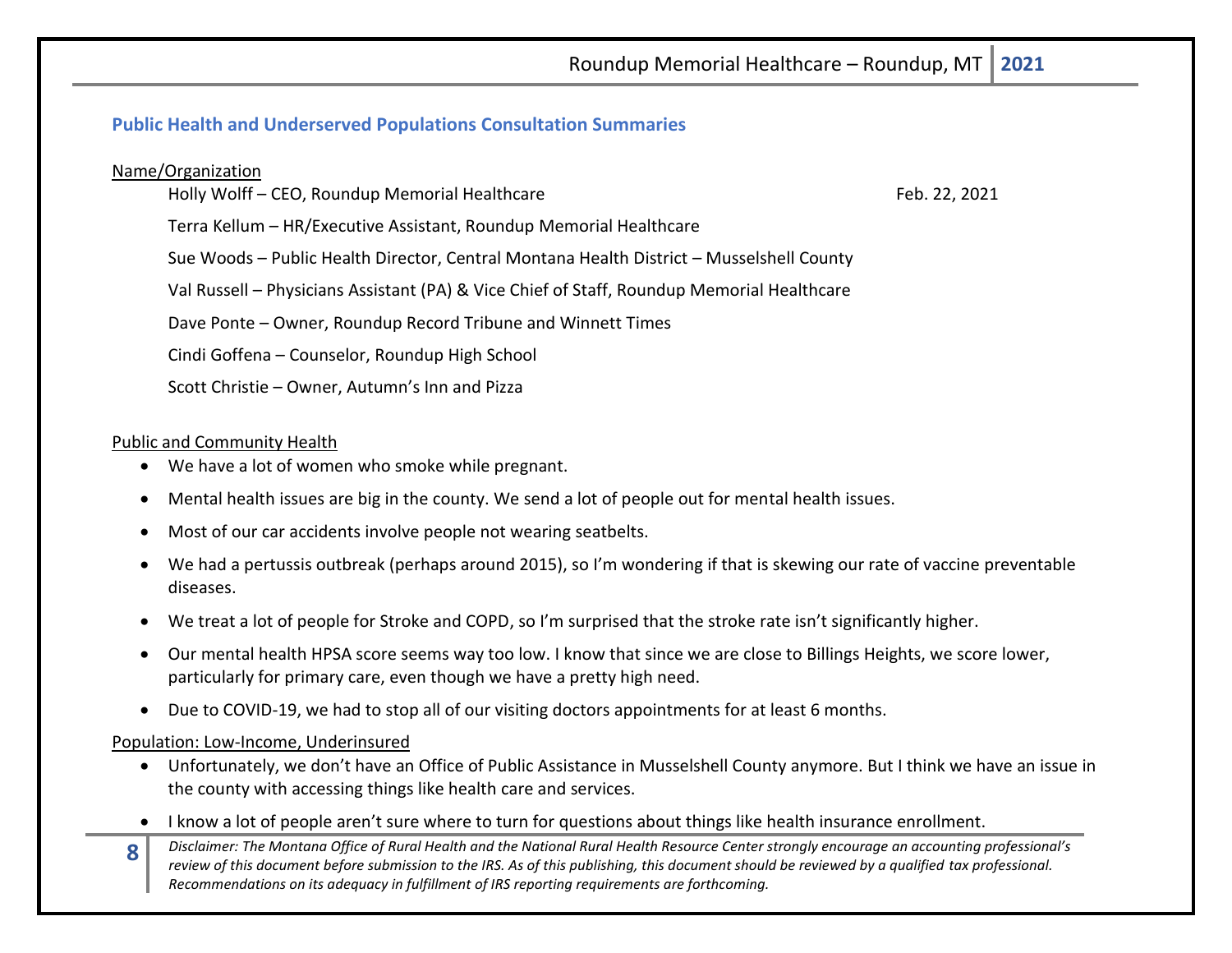## <span id="page-7-0"></span>**Public Health and Underserved Populations Consultation Summaries**

#### Name/Organization

Holly Wolff – CEO, Roundup Memorial Healthcare Feb. 22, 2021

Terra Kellum – HR/Executive Assistant, Roundup Memorial Healthcare

Sue Woods – Public Health Director, Central Montana Health District – Musselshell County

Val Russell – Physicians Assistant (PA) & Vice Chief of Staff, Roundup Memorial Healthcare

Dave Ponte – Owner, Roundup Record Tribune and Winnett Times

Cindi Goffena – Counselor, Roundup High School

Scott Christie – Owner, Autumn's Inn and Pizza

#### Public and Community Health

- We have a lot of women who smoke while pregnant.
- Mental health issues are big in the county. We send a lot of people out for mental health issues.
- Most of our car accidents involve people not wearing seatbelts.
- We had a pertussis outbreak (perhaps around 2015), so I'm wondering if that is skewing our rate of vaccine preventable diseases.
- We treat a lot of people for Stroke and COPD, so I'm surprised that the stroke rate isn't significantly higher.
- Our mental health HPSA score seems way too low. I know that since we are close to Billings Heights, we score lower, particularly for primary care, even though we have a pretty high need.
- Due to COVID-19, we had to stop all of our visiting doctors appointments for at least 6 months.

#### Population: Low-Income, Underinsured

- Unfortunately, we don't have an Office of Public Assistance in Musselshell County anymore. But I think we have an issue in the county with accessing things like health care and services.
- I know a lot of people aren't sure where to turn for questions about things like health insurance enrollment.
- **8** *Disclaimer: The Montana Office of Rural Health and the National Rural Health Resource Center strongly encourage an accounting professional's review of this document before submission to the IRS. As of this publishing, this document should be reviewed by a qualified tax professional. Recommendations on its adequacy in fulfillment of IRS reporting requirements are forthcoming.*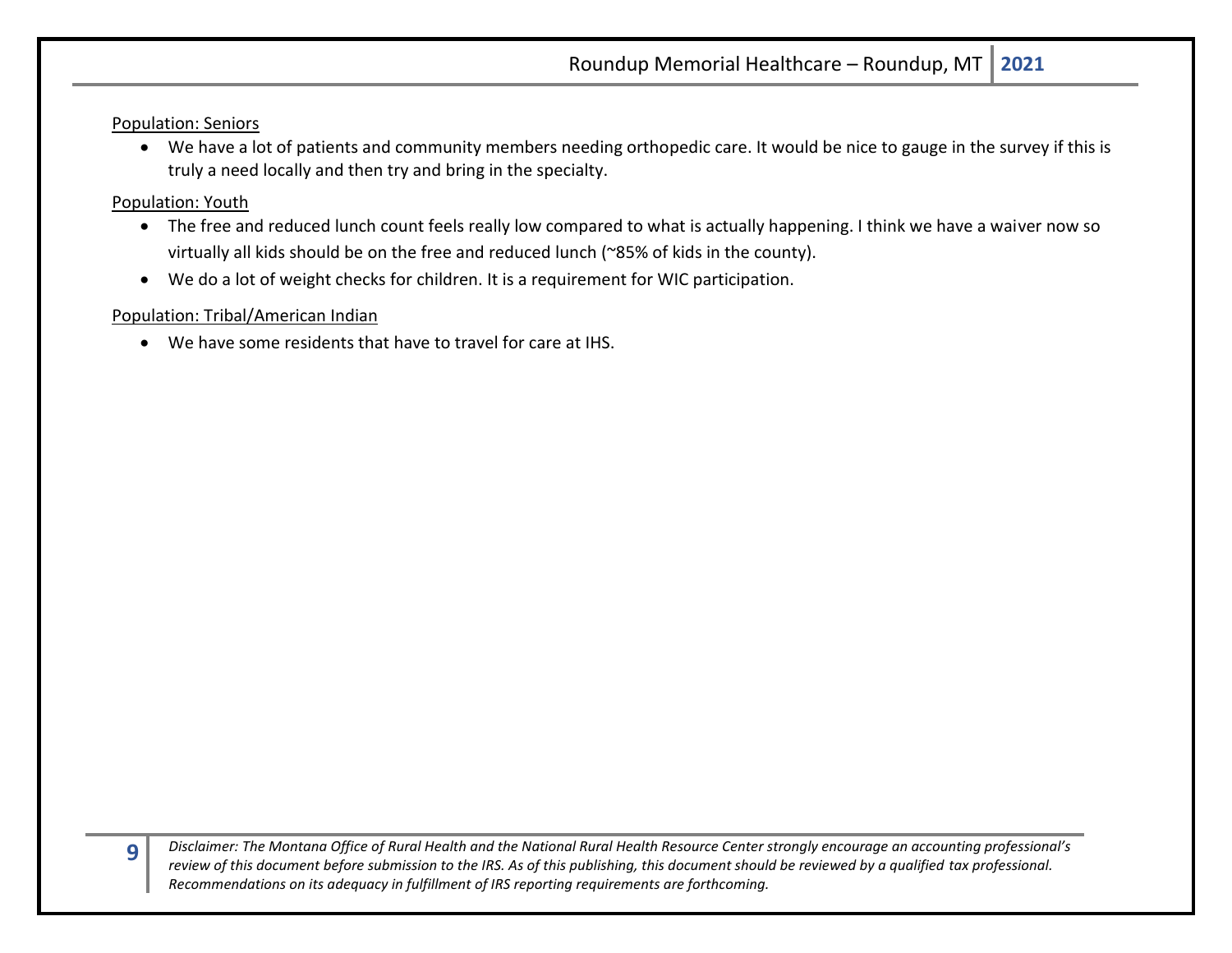Population: Seniors

• We have a lot of patients and community members needing orthopedic care. It would be nice to gauge in the survey if this is truly a need locally and then try and bring in the specialty.

#### Population: Youth

**9**

- The free and reduced lunch count feels really low compared to what is actually happening. I think we have a waiver now so virtually all kids should be on the free and reduced lunch (~85% of kids in the county).
- We do a lot of weight checks for children. It is a requirement for WIC participation.

## Population: Tribal/American Indian

• We have some residents that have to travel for care at IHS.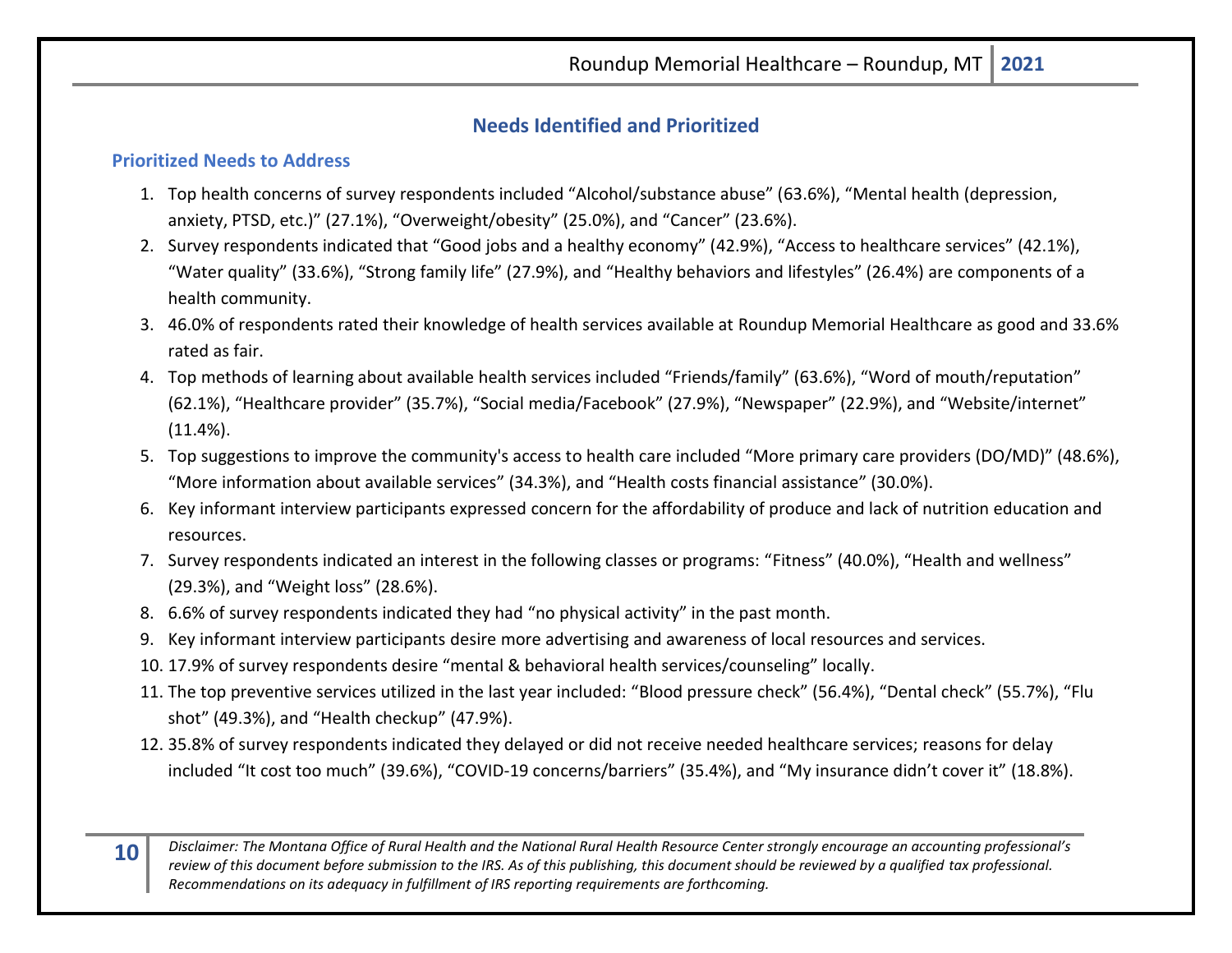## **Needs Identified and Prioritized**

## <span id="page-9-1"></span><span id="page-9-0"></span>**Prioritized Needs to Address**

- 1. Top health concerns of survey respondents included "Alcohol/substance abuse" (63.6%), "Mental health (depression, anxiety, PTSD, etc.)" (27.1%), "Overweight/obesity" (25.0%), and "Cancer" (23.6%).
- 2. Survey respondents indicated that "Good jobs and a healthy economy" (42.9%), "Access to healthcare services" (42.1%), "Water quality" (33.6%), "Strong family life" (27.9%), and "Healthy behaviors and lifestyles" (26.4%) are components of a health community.
- 3. 46.0% of respondents rated their knowledge of health services available at Roundup Memorial Healthcare as good and 33.6% rated as fair.
- 4. Top methods of learning about available health services included "Friends/family" (63.6%), "Word of mouth/reputation" (62.1%), "Healthcare provider" (35.7%), "Social media/Facebook" (27.9%), "Newspaper" (22.9%), and "Website/internet"  $(11.4\%)$ .
- 5. Top suggestions to improve the community's access to health care included "More primary care providers (DO/MD)" (48.6%), "More information about available services" (34.3%), and "Health costs financial assistance" (30.0%).
- 6. Key informant interview participants expressed concern for the affordability of produce and lack of nutrition education and resources.
- 7. Survey respondents indicated an interest in the following classes or programs: "Fitness" (40.0%), "Health and wellness" (29.3%), and "Weight loss" (28.6%).
- 8. 6.6% of survey respondents indicated they had "no physical activity" in the past month.
- 9. Key informant interview participants desire more advertising and awareness of local resources and services.
- 10. 17.9% of survey respondents desire "mental & behavioral health services/counseling" locally.
- 11. The top preventive services utilized in the last year included: "Blood pressure check" (56.4%), "Dental check" (55.7%), "Flu shot" (49.3%), and "Health checkup" (47.9%).
- 12. 35.8% of survey respondents indicated they delayed or did not receive needed healthcare services; reasons for delay included "It cost too much" (39.6%), "COVID-19 concerns/barriers" (35.4%), and "My insurance didn't cover it" (18.8%).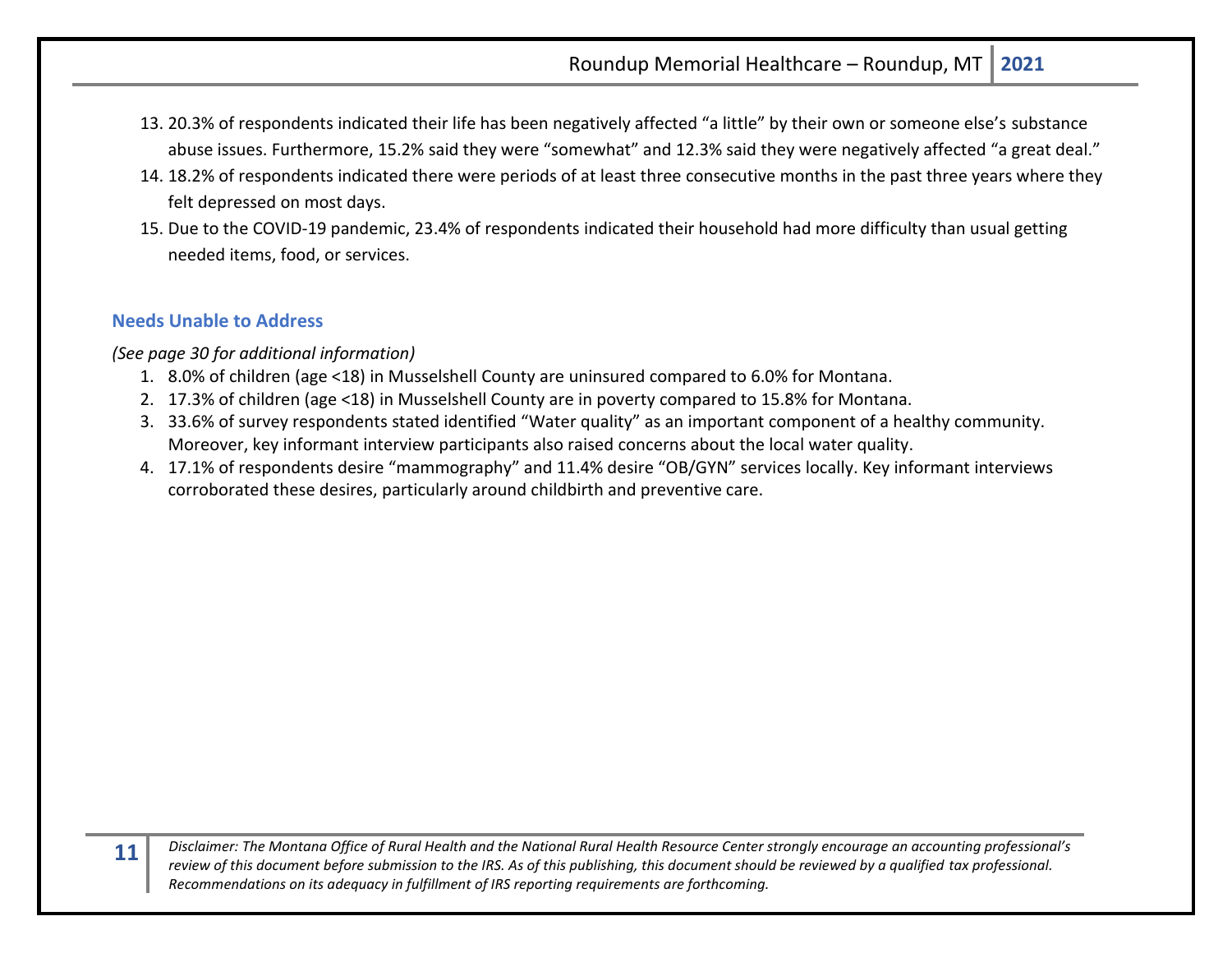- 13. 20.3% of respondents indicated their life has been negatively affected "a little" by their own or someone else's substance abuse issues. Furthermore, 15.2% said they were "somewhat" and 12.3% said they were negatively affected "a great deal."
- 14. 18.2% of respondents indicated there were periods of at least three consecutive months in the past three years where they felt depressed on most days.
- 15. Due to the COVID-19 pandemic, 23.4% of respondents indicated their household had more difficulty than usual getting needed items, food, or services.

## <span id="page-10-0"></span>**Needs Unable to Address**

*(See page 30 for additional information)*

- 1. 8.0% of children (age <18) in Musselshell County are uninsured compared to 6.0% for Montana.
- 2. 17.3% of children (age <18) in Musselshell County are in poverty compared to 15.8% for Montana.
- 3. 33.6% of survey respondents stated identified "Water quality" as an important component of a healthy community. Moreover, key informant interview participants also raised concerns about the local water quality.
- 4. 17.1% of respondents desire "mammography" and 11.4% desire "OB/GYN" services locally. Key informant interviews corroborated these desires, particularly around childbirth and preventive care.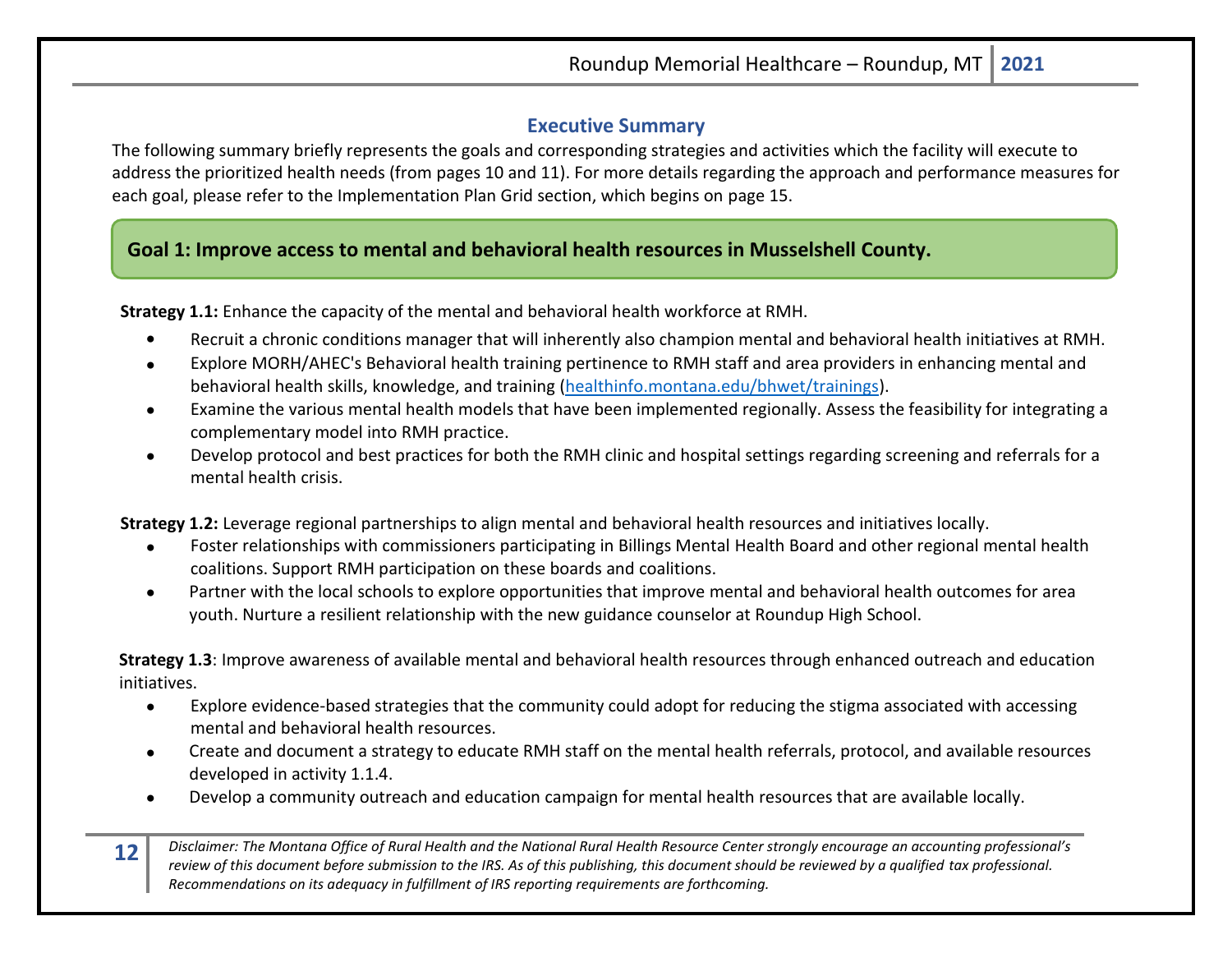## **Executive Summary**

<span id="page-11-0"></span>The following summary briefly represents the goals and corresponding strategies and activities which the facility will execute to address the prioritized health needs (from pages 10 and 11). For more details regarding the approach and performance measures for each goal, please refer to the Implementation Plan Grid section, which begins on page 15.

## **Goal 1: Improve access to mental and behavioral health resources in Musselshell County.**

**Strategy 1.1:** Enhance the capacity of the mental and behavioral health workforce at RMH.

- Recruit a chronic conditions manager that will inherently also champion mental and behavioral health initiatives at RMH.
- Explore MORH/AHEC's Behavioral health training pertinence to RMH staff and area providers in enhancing mental and behavioral health skills, knowledge, and training [\(healthinfo.montana.edu/bhwet/trainings\)](http://healthinfo.montana.edu/bhwet/trainings.html).
- Examine the various mental health models that have been implemented regionally. Assess the feasibility for integrating a complementary model into RMH practice.
- Develop protocol and best practices for both the RMH clinic and hospital settings regarding screening and referrals for a mental health crisis.

**Strategy 1.2:** Leverage regional partnerships to align mental and behavioral health resources and initiatives locally.

- Foster relationships with commissioners participating in Billings Mental Health Board and other regional mental health coalitions. Support RMH participation on these boards and coalitions.
- Partner with the local schools to explore opportunities that improve mental and behavioral health outcomes for area youth. Nurture a resilient relationship with the new guidance counselor at Roundup High School.

**Strategy 1.3**: Improve awareness of available mental and behavioral health resources through enhanced outreach and education initiatives.

- Explore evidence-based strategies that the community could adopt for reducing the stigma associated with accessing mental and behavioral health resources.
- Create and document a strategy to educate RMH staff on the mental health referrals, protocol, and available resources developed in activity 1.1.4.
- Develop a community outreach and education campaign for mental health resources that are available locally.
- **12** *Disclaimer: The Montana Office of Rural Health and the National Rural Health Resource Center strongly encourage an accounting professional's review of this document before submission to the IRS. As of this publishing, this document should be reviewed by a qualified tax professional. Recommendations on its adequacy in fulfillment of IRS reporting requirements are forthcoming.*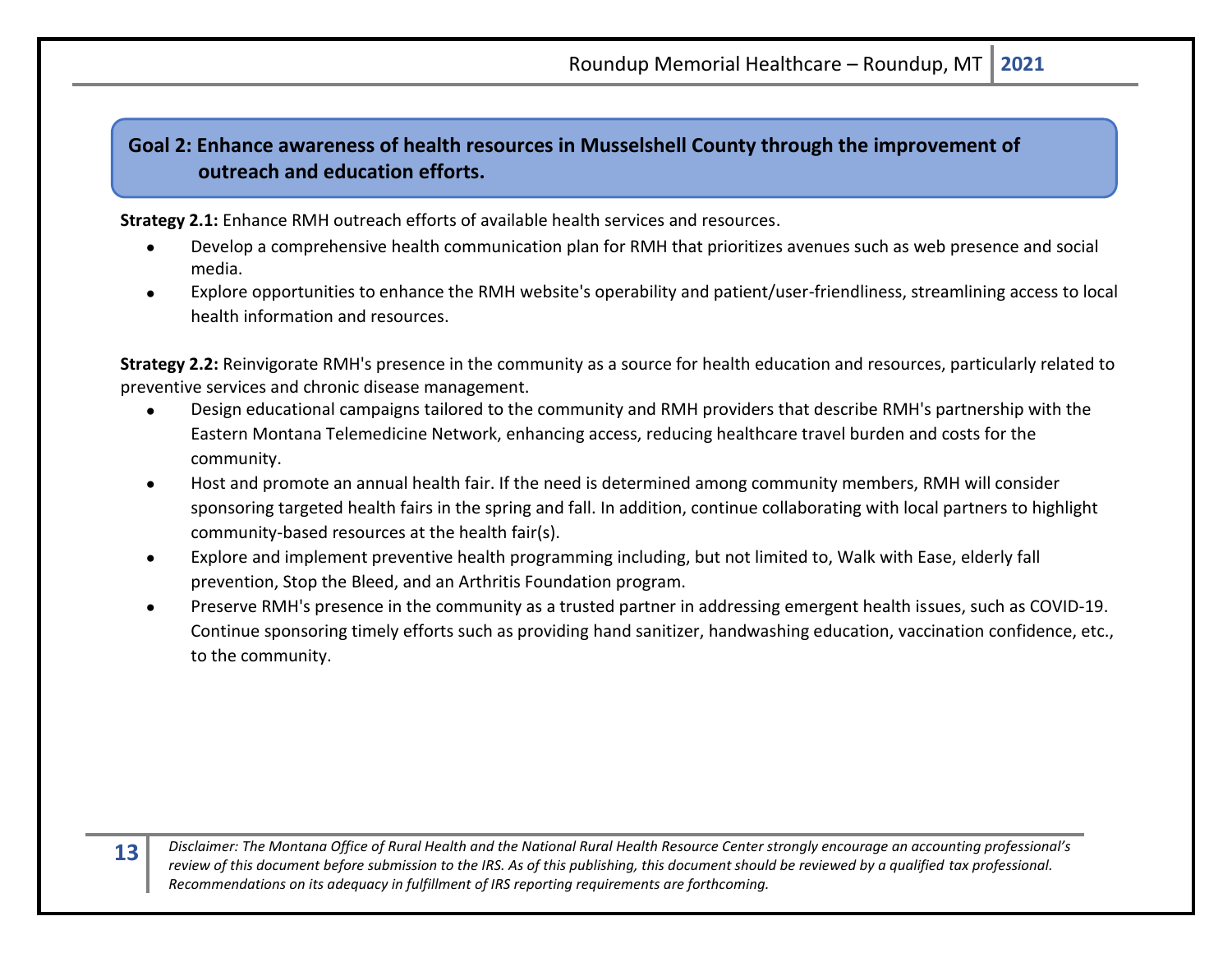## **Goal 2: Enhance awareness of health resources in Musselshell County through the improvement of outreach and education efforts.**

**Strategy 2.1:** Enhance RMH outreach efforts of available health services and resources.

- Develop a comprehensive health communication plan for RMH that prioritizes avenues such as web presence and social media.
- Explore opportunities to enhance the RMH website's operability and patient/user-friendliness, streamlining access to local health information and resources.

**Strategy 2.2:** Reinvigorate RMH's presence in the community as a source for health education and resources, particularly related to preventive services and chronic disease management.

- Design educational campaigns tailored to the community and RMH providers that describe RMH's partnership with the Eastern Montana Telemedicine Network, enhancing access, reducing healthcare travel burden and costs for the community.
- Host and promote an annual health fair. If the need is determined among community members, RMH will consider sponsoring targeted health fairs in the spring and fall. In addition, continue collaborating with local partners to highlight community-based resources at the health fair(s).
- Explore and implement preventive health programming including, but not limited to, Walk with Ease, elderly fall prevention, Stop the Bleed, and an Arthritis Foundation program.
- Preserve RMH's presence in the community as a trusted partner in addressing emergent health issues, such as COVID-19. Continue sponsoring timely efforts such as providing hand sanitizer, handwashing education, vaccination confidence, etc., to the community.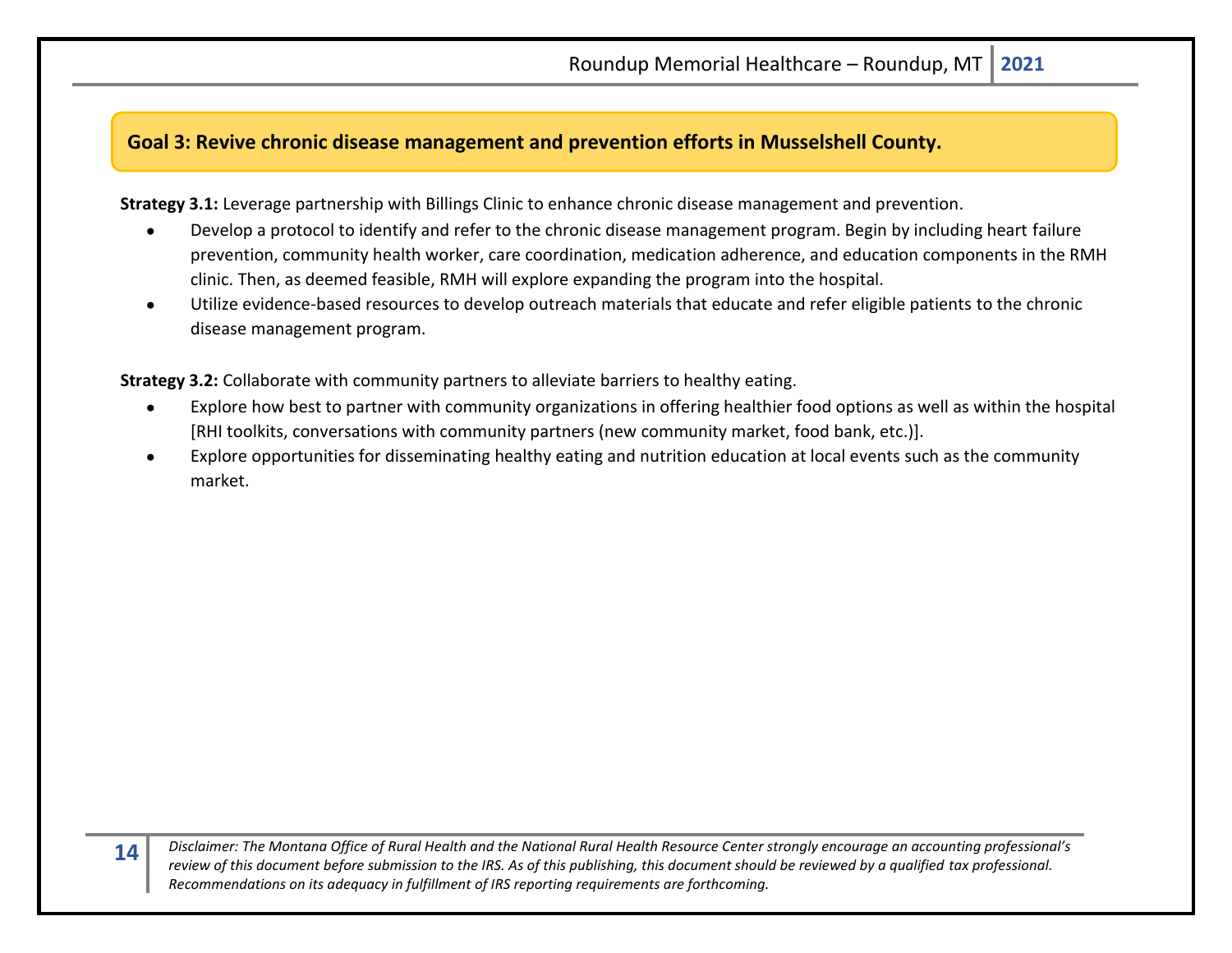## **Goal 3: Revive chronic disease management and prevention efforts in Musselshell County.**

**Strategy 3.1:** Leverage partnership with Billings Clinic to enhance chronic disease management and prevention.

- Develop a protocol to identify and refer to the chronic disease management program. Begin by including heart failure prevention, community health worker, care coordination, medication adherence, and education components in the RMH clinic. Then, as deemed feasible, RMH will explore expanding the program into the hospital.
- Utilize evidence-based resources to develop outreach materials that educate and refer eligible patients to the chronic disease management program.

**Strategy 3.2:** Collaborate with community partners to alleviate barriers to healthy eating.

- Explore how best to partner with community organizations in offering healthier food options as well as within the hospital [RHI toolkits, conversations with community partners (new community market, food bank, etc.)].
- Explore opportunities for disseminating healthy eating and nutrition education at local events such as the community market.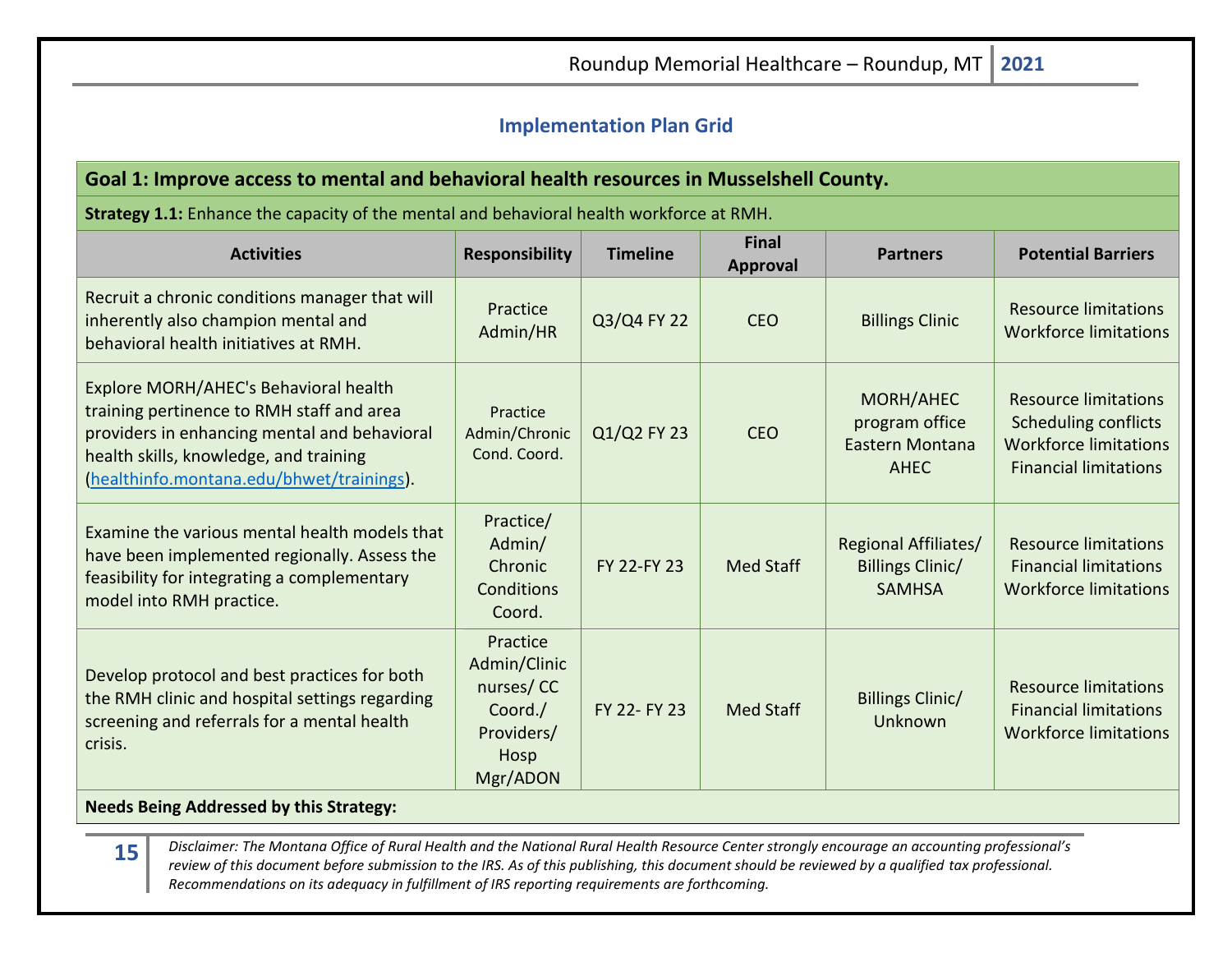## <span id="page-14-0"></span>**Implementation Plan Grid**

## **Goal 1: Improve access to mental and behavioral health resources in Musselshell County.**

**Strategy 1.1:** Enhance the capacity of the mental and behavioral health workforce at RMH.

| <b>Activities</b>                                                                                                                                                                                                         | <b>Responsibility</b>                                                              | <b>Timeline</b> | <b>Final</b><br>Approval | <b>Partners</b>                                                         | <b>Potential Barriers</b>                                                                                                  |
|---------------------------------------------------------------------------------------------------------------------------------------------------------------------------------------------------------------------------|------------------------------------------------------------------------------------|-----------------|--------------------------|-------------------------------------------------------------------------|----------------------------------------------------------------------------------------------------------------------------|
| Recruit a chronic conditions manager that will<br>inherently also champion mental and<br>behavioral health initiatives at RMH.                                                                                            | Practice<br>Admin/HR                                                               | Q3/Q4 FY 22     | <b>CEO</b>               | <b>Billings Clinic</b>                                                  | <b>Resource limitations</b><br><b>Workforce limitations</b>                                                                |
| Explore MORH/AHEC's Behavioral health<br>training pertinence to RMH staff and area<br>providers in enhancing mental and behavioral<br>health skills, knowledge, and training<br>(healthinfo.montana.edu/bhwet/trainings). | Practice<br>Admin/Chronic<br>Cond. Coord.                                          | Q1/Q2 FY 23     | <b>CEO</b>               | MORH/AHEC<br>program office<br>Eastern Montana<br>AHEC                  | <b>Resource limitations</b><br><b>Scheduling conflicts</b><br><b>Workforce limitations</b><br><b>Financial limitations</b> |
| Examine the various mental health models that<br>have been implemented regionally. Assess the<br>feasibility for integrating a complementary<br>model into RMH practice.                                                  | Practice/<br>Admin/<br>Chronic<br>Conditions<br>Coord.                             | FY 22-FY 23     | <b>Med Staff</b>         | <b>Regional Affiliates/</b><br><b>Billings Clinic/</b><br><b>SAMHSA</b> | <b>Resource limitations</b><br><b>Financial limitations</b><br><b>Workforce limitations</b>                                |
| Develop protocol and best practices for both<br>the RMH clinic and hospital settings regarding<br>screening and referrals for a mental health<br>crisis.                                                                  | Practice<br>Admin/Clinic<br>nurses/CC<br>Coord./<br>Providers/<br>Hosp<br>Mgr/ADON | FY 22- FY 23    | Med Staff                | <b>Billings Clinic/</b><br>Unknown                                      | <b>Resource limitations</b><br><b>Financial limitations</b><br><b>Workforce limitations</b>                                |

## **Needs Being Addressed by this Strategy:**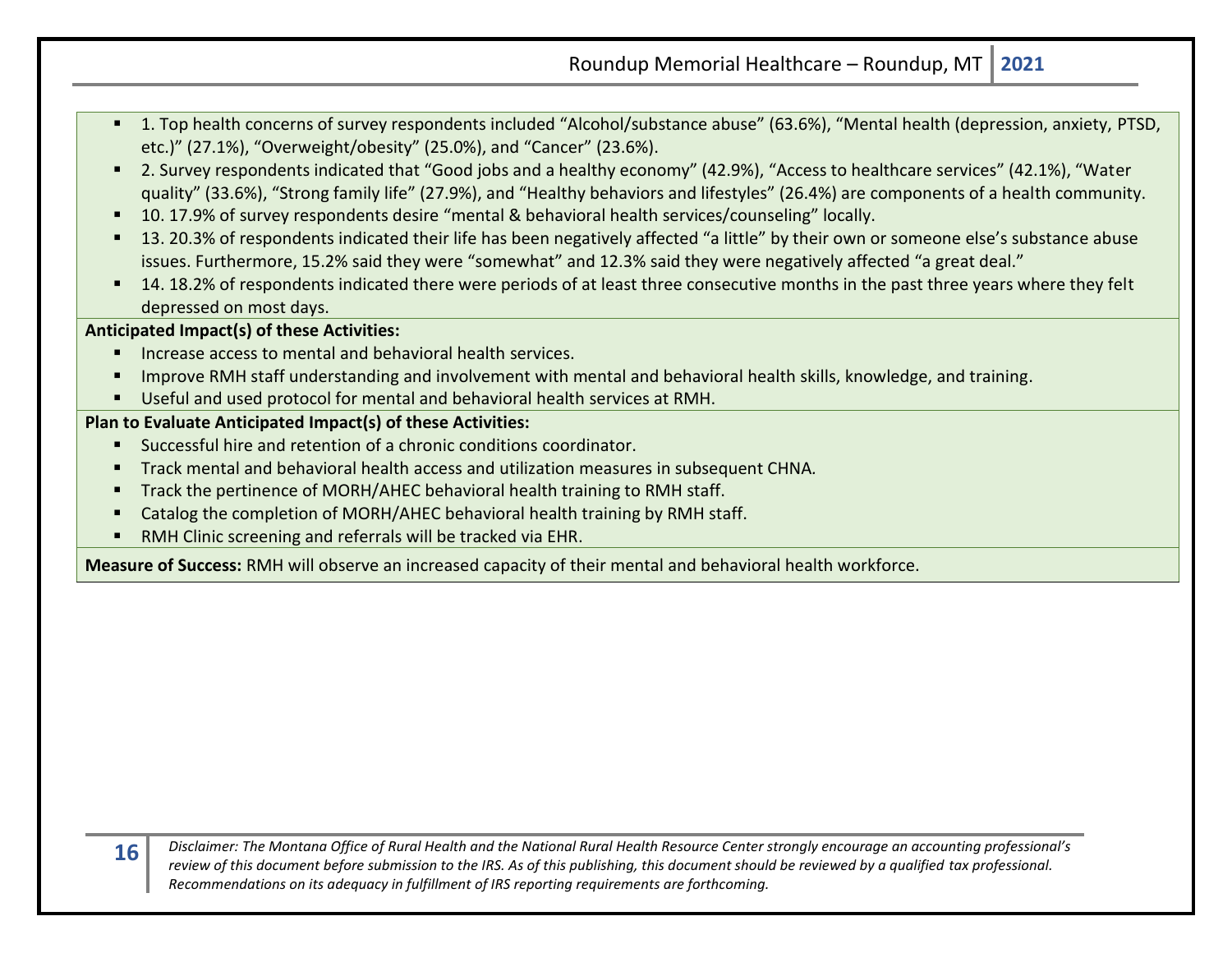- 1. Top health concerns of survey respondents included "Alcohol/substance abuse" (63.6%), "Mental health (depression, anxiety, PTSD, etc.)" (27.1%), "Overweight/obesity" (25.0%), and "Cancer" (23.6%).
- 2. Survey respondents indicated that "Good jobs and a healthy economy" (42.9%), "Access to healthcare services" (42.1%), "Water quality" (33.6%), "Strong family life" (27.9%), and "Healthy behaviors and lifestyles" (26.4%) are components of a health community.
- 10. 17.9% of survey respondents desire "mental & behavioral health services/counseling" locally.
- 13. 20.3% of respondents indicated their life has been negatively affected "a little" by their own or someone else's substance abuse issues. Furthermore, 15.2% said they were "somewhat" and 12.3% said they were negatively affected "a great deal."
- 14. 18.2% of respondents indicated there were periods of at least three consecutive months in the past three years where they felt depressed on most days.

## **Anticipated Impact(s) of these Activities:**

- Increase access to mental and behavioral health services.
- Improve RMH staff understanding and involvement with mental and behavioral health skills, knowledge, and training.
- Useful and used protocol for mental and behavioral health services at RMH.

## **Plan to Evaluate Anticipated Impact(s) of these Activities:**

- Successful hire and retention of a chronic conditions coordinator.
- Track mental and behavioral health access and utilization measures in subsequent CHNA*.*
- **Track the pertinence of MORH/AHEC behavioral health training to RMH staff.**
- Catalog the completion of MORH/AHEC behavioral health training by RMH staff.
- RMH Clinic screening and referrals will be tracked via EHR.

**Measure of Success:** RMH will observe an increased capacity of their mental and behavioral health workforce.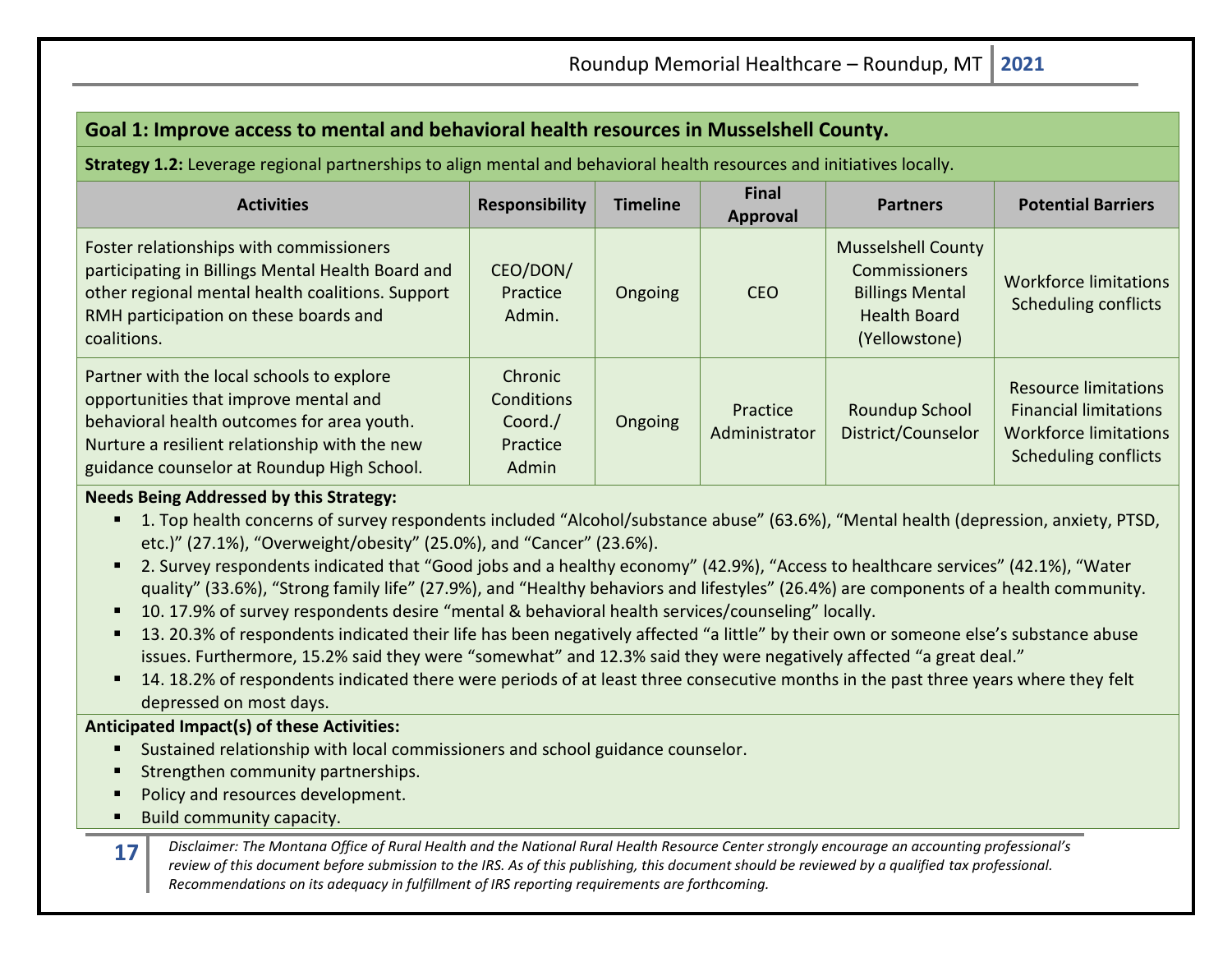## **Goal 1: Improve access to mental and behavioral health resources in Musselshell County.**

**Strategy 1.2:** Leverage regional partnerships to align mental and behavioral health resources and initiatives locally.

| <b>Activities</b>                                                                                                                                                                                                               | <b>Responsibility</b>                                 | <b>Timeline</b> | <b>Final</b><br>Approval  | <b>Partners</b>                                                                                                     | <b>Potential Barriers</b>                                                                                                  |
|---------------------------------------------------------------------------------------------------------------------------------------------------------------------------------------------------------------------------------|-------------------------------------------------------|-----------------|---------------------------|---------------------------------------------------------------------------------------------------------------------|----------------------------------------------------------------------------------------------------------------------------|
| Foster relationships with commissioners<br>participating in Billings Mental Health Board and<br>other regional mental health coalitions. Support<br>RMH participation on these boards and<br>coalitions.                        | CEO/DON/<br>Practice<br>Admin.                        | Ongoing         | <b>CEO</b>                | <b>Musselshell County</b><br><b>Commissioners</b><br><b>Billings Mental</b><br><b>Health Board</b><br>(Yellowstone) | <b>Workforce limitations</b><br><b>Scheduling conflicts</b>                                                                |
| Partner with the local schools to explore<br>opportunities that improve mental and<br>behavioral health outcomes for area youth.<br>Nurture a resilient relationship with the new<br>guidance counselor at Roundup High School. | Chronic<br>Conditions<br>Coord./<br>Practice<br>Admin | Ongoing         | Practice<br>Administrator | Roundup School<br>District/Counselor                                                                                | <b>Resource limitations</b><br><b>Financial limitations</b><br><b>Workforce limitations</b><br><b>Scheduling conflicts</b> |

## **Needs Being Addressed by this Strategy:**

- 1. Top health concerns of survey respondents included "Alcohol/substance abuse" (63.6%), "Mental health (depression, anxiety, PTSD, etc.)" (27.1%), "Overweight/obesity" (25.0%), and "Cancer" (23.6%).
- 2. Survey respondents indicated that "Good jobs and a healthy economy" (42.9%), "Access to healthcare services" (42.1%), "Water quality" (33.6%), "Strong family life" (27.9%), and "Healthy behaviors and lifestyles" (26.4%) are components of a health community.
- 10. 17.9% of survey respondents desire "mental & behavioral health services/counseling" locally.
- 13. 20.3% of respondents indicated their life has been negatively affected "a little" by their own or someone else's substance abuse issues. Furthermore, 15.2% said they were "somewhat" and 12.3% said they were negatively affected "a great deal."
- 14. 18.2% of respondents indicated there were periods of at least three consecutive months in the past three years where they felt depressed on most days.

## **Anticipated Impact(s) of these Activities:**

- **E** Sustained relationship with local commissioners and school guidance counselor.
- Strengthen community partnerships.
- Policy and resources development.
- Build community capacity.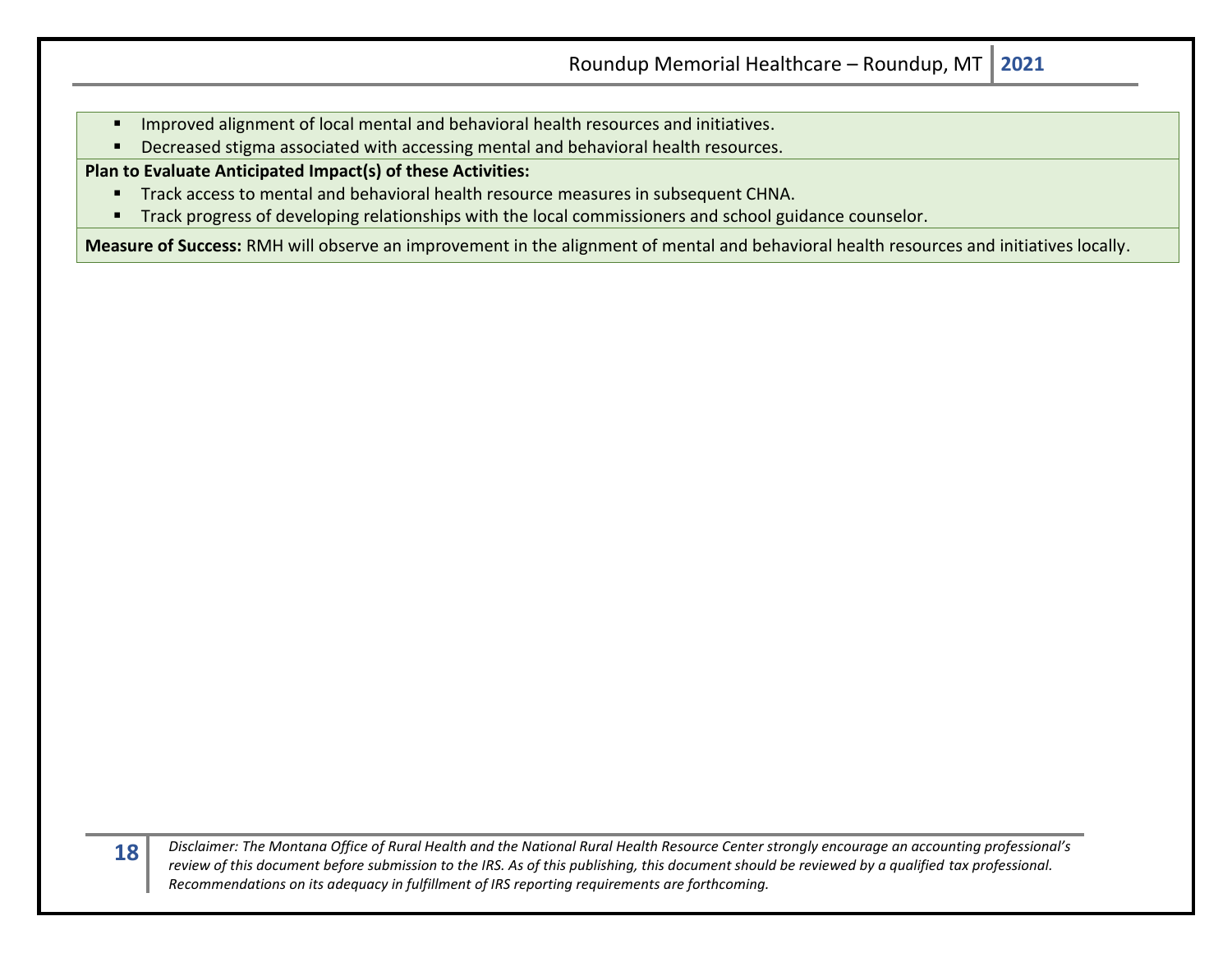- Improved alignment of local mental and behavioral health resources and initiatives.
- Decreased stigma associated with accessing mental and behavioral health resources.

**Plan to Evaluate Anticipated Impact(s) of these Activities:**

- **E** Track access to mental and behavioral health resource measures in subsequent CHNA.
- **■** Track progress of developing relationships with the local commissioners and school guidance counselor.

**Measure of Success:** RMH will observe an improvement in the alignment of mental and behavioral health resources and initiatives locally.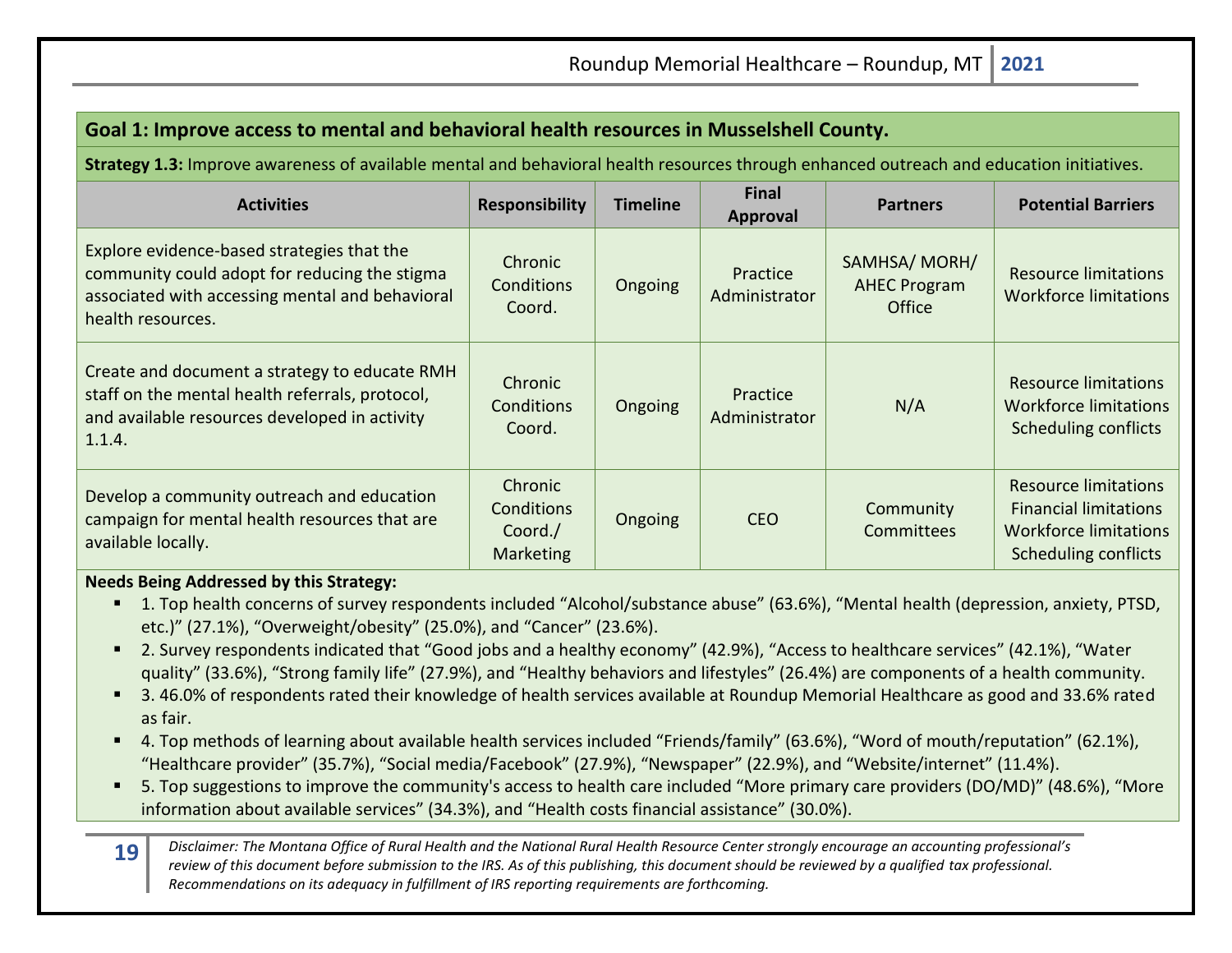| Goal 1: Improve access to mental and behavioral health resources in Musselshell County.                                                                             |                                                      |                 |                           |                                               |                                                                                                                            |  |  |  |
|---------------------------------------------------------------------------------------------------------------------------------------------------------------------|------------------------------------------------------|-----------------|---------------------------|-----------------------------------------------|----------------------------------------------------------------------------------------------------------------------------|--|--|--|
| Strategy 1.3: Improve awareness of available mental and behavioral health resources through enhanced outreach and education initiatives.                            |                                                      |                 |                           |                                               |                                                                                                                            |  |  |  |
| <b>Activities</b>                                                                                                                                                   | <b>Responsibility</b>                                | <b>Timeline</b> | <b>Final</b><br>Approval  | <b>Partners</b>                               | <b>Potential Barriers</b>                                                                                                  |  |  |  |
| Explore evidence-based strategies that the<br>community could adopt for reducing the stigma<br>associated with accessing mental and behavioral<br>health resources. | <b>Chronic</b><br>Conditions<br>Coord.               | Ongoing         | Practice<br>Administrator | SAMHSA/MORH/<br><b>AHEC Program</b><br>Office | <b>Resource limitations</b><br>Workforce limitations                                                                       |  |  |  |
| Create and document a strategy to educate RMH<br>staff on the mental health referrals, protocol,<br>and available resources developed in activity<br>1.1.4.         | Chronic<br>Conditions<br>Coord.                      | Ongoing         | Practice<br>Administrator | N/A                                           | <b>Resource limitations</b><br><b>Workforce limitations</b><br><b>Scheduling conflicts</b>                                 |  |  |  |
| Develop a community outreach and education<br>campaign for mental health resources that are<br>available locally.                                                   | Chronic<br>Conditions<br>Coord./<br><b>Marketing</b> | Ongoing         | <b>CEO</b>                | Community<br>Committees                       | <b>Resource limitations</b><br><b>Financial limitations</b><br><b>Workforce limitations</b><br><b>Scheduling conflicts</b> |  |  |  |

## **Needs Being Addressed by this Strategy:**

- 1. Top health concerns of survey respondents included "Alcohol/substance abuse" (63.6%), "Mental health (depression, anxiety, PTSD, etc.)" (27.1%), "Overweight/obesity" (25.0%), and "Cancer" (23.6%).
- 2. Survey respondents indicated that "Good jobs and a healthy economy" (42.9%), "Access to healthcare services" (42.1%), "Water quality" (33.6%), "Strong family life" (27.9%), and "Healthy behaviors and lifestyles" (26.4%) are components of a health community.
- 3.46.0% of respondents rated their knowledge of health services available at Roundup Memorial Healthcare as good and 33.6% rated as fair.
- 4. Top methods of learning about available health services included "Friends/family" (63.6%), "Word of mouth/reputation" (62.1%), "Healthcare provider" (35.7%), "Social media/Facebook" (27.9%), "Newspaper" (22.9%), and "Website/internet" (11.4%).
- 5. Top suggestions to improve the community's access to health care included "More primary care providers (DO/MD)" (48.6%), "More information about available services" (34.3%), and "Health costs financial assistance" (30.0%).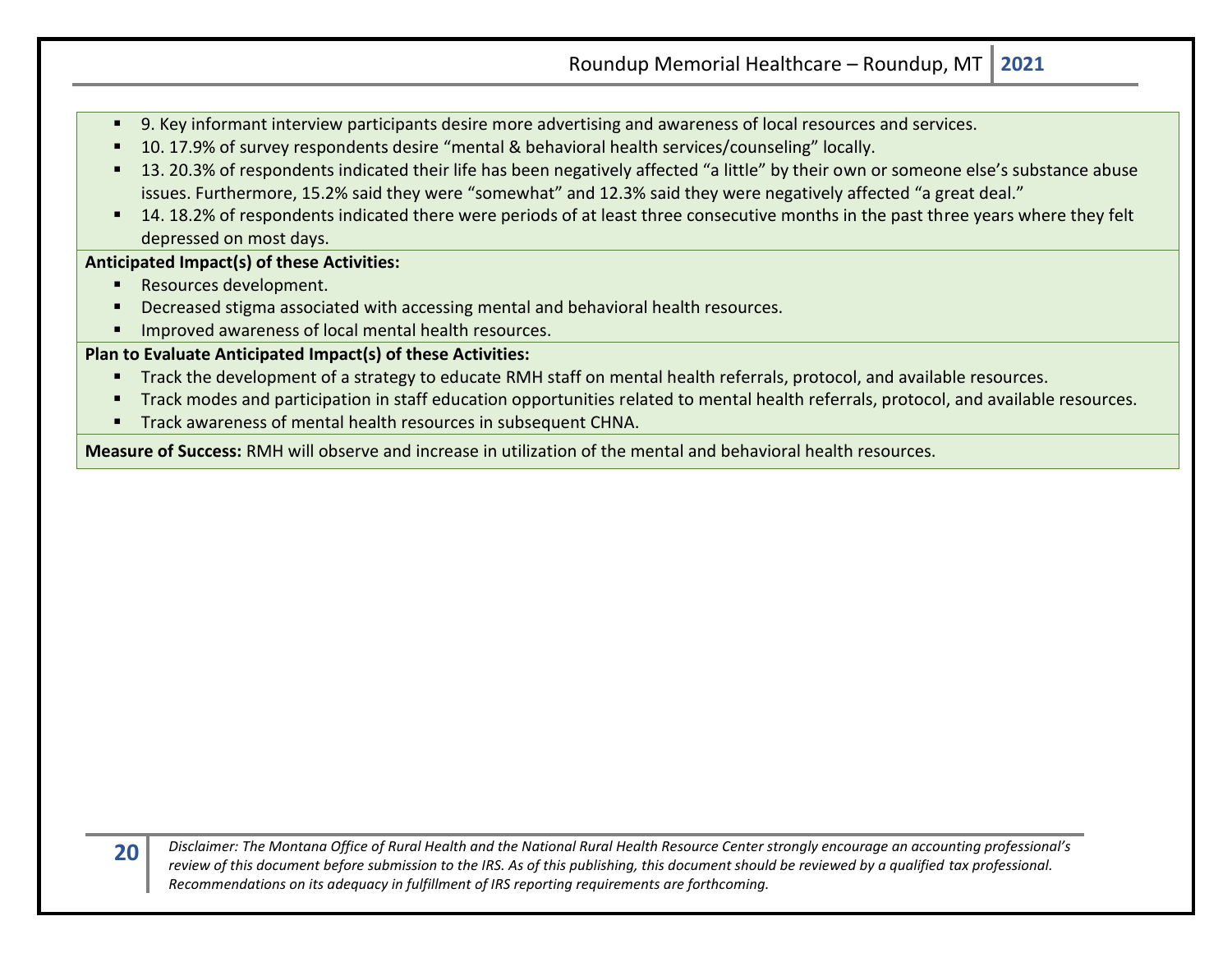- 9. Key informant interview participants desire more advertising and awareness of local resources and services.
- 10. 17.9% of survey respondents desire "mental & behavioral health services/counseling" locally.
- 13. 20.3% of respondents indicated their life has been negatively affected "a little" by their own or someone else's substance abuse issues. Furthermore, 15.2% said they were "somewhat" and 12.3% said they were negatively affected "a great deal."
- 14. 18.2% of respondents indicated there were periods of at least three consecutive months in the past three years where they felt depressed on most days.

## **Anticipated Impact(s) of these Activities:**

- Resources development.
- Decreased stigma associated with accessing mental and behavioral health resources.
- Improved awareness of local mental health resources.

## **Plan to Evaluate Anticipated Impact(s) of these Activities:**

- Track the development of a strategy to educate RMH staff on mental health referrals, protocol, and available resources.
- Track modes and participation in staff education opportunities related to mental health referrals, protocol, and available resources.
- Track awareness of mental health resources in subsequent CHNA.

**Measure of Success:** RMH will observe and increase in utilization of the mental and behavioral health resources.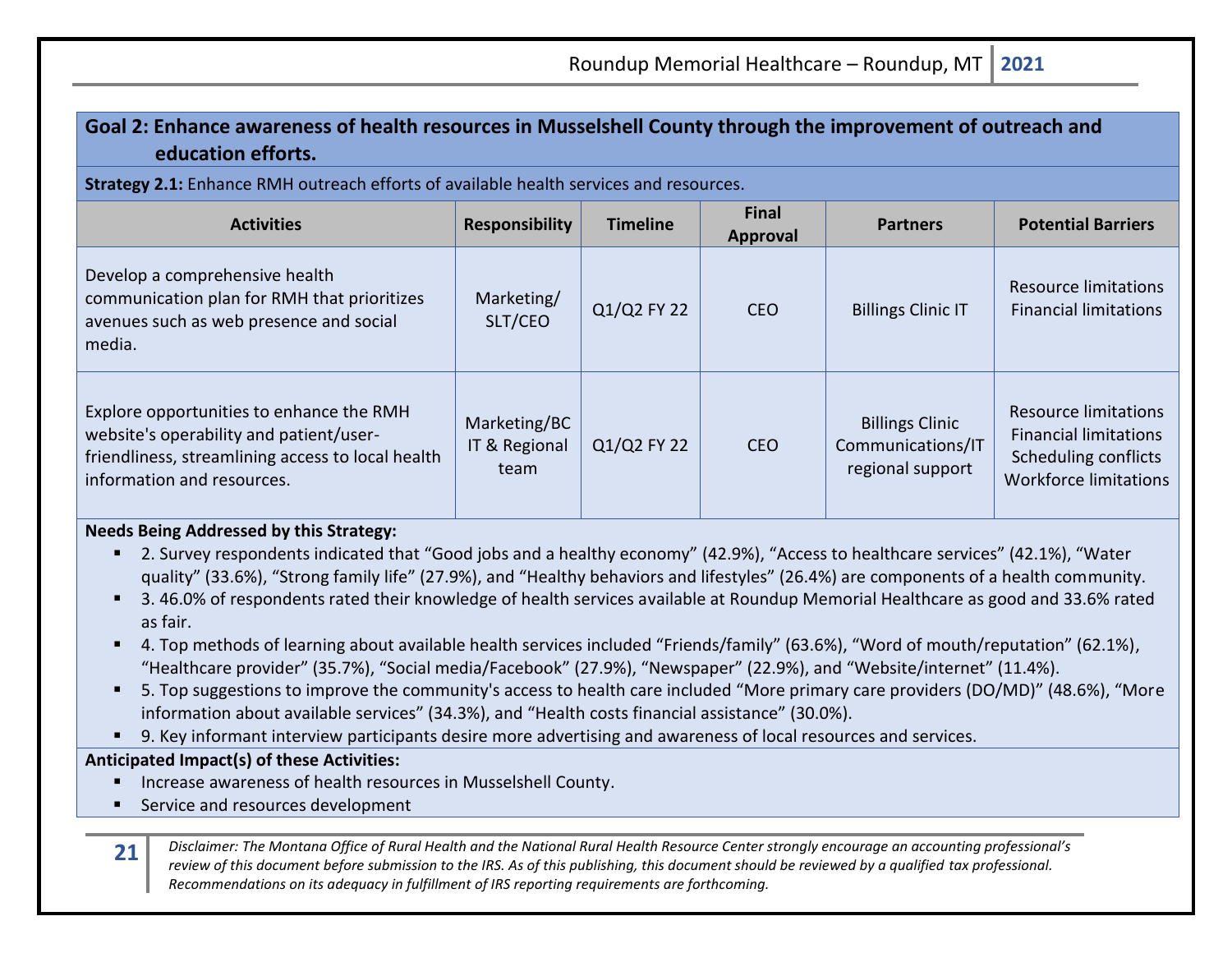## **Goal 2: Enhance awareness of health resources in Musselshell County through the improvement of outreach and education efforts.**

**Strategy 2.1:** Enhance RMH outreach efforts of available health services and resources.

| <b>Activities</b>                                                                                                                                                      | <b>Responsibility</b>                 | <b>Timeline</b> | <b>Final</b><br>Approval | <b>Partners</b>                                                 | <b>Potential Barriers</b>                                                                                                  |
|------------------------------------------------------------------------------------------------------------------------------------------------------------------------|---------------------------------------|-----------------|--------------------------|-----------------------------------------------------------------|----------------------------------------------------------------------------------------------------------------------------|
| Develop a comprehensive health<br>communication plan for RMH that prioritizes<br>avenues such as web presence and social<br>media.                                     | Marketing/<br>SLT/CEO                 | Q1/Q2 FY 22     | <b>CEO</b>               | <b>Billings Clinic IT</b>                                       | <b>Resource limitations</b><br><b>Financial limitations</b>                                                                |
| Explore opportunities to enhance the RMH<br>website's operability and patient/user-<br>friendliness, streamlining access to local health<br>information and resources. | Marketing/BC<br>IT & Regional<br>team | Q1/Q2 FY 22     | <b>CEO</b>               | <b>Billings Clinic</b><br>Communications/IT<br>regional support | <b>Resource limitations</b><br><b>Financial limitations</b><br><b>Scheduling conflicts</b><br><b>Workforce limitations</b> |

#### **Needs Being Addressed by this Strategy:**

- 2. Survey respondents indicated that "Good jobs and a healthy economy" (42.9%), "Access to healthcare services" (42.1%), "Water quality" (33.6%), "Strong family life" (27.9%), and "Healthy behaviors and lifestyles" (26.4%) are components of a health community.
- 3.46.0% of respondents rated their knowledge of health services available at Roundup Memorial Healthcare as good and 33.6% rated as fair.
- 4. Top methods of learning about available health services included "Friends/family" (63.6%), "Word of mouth/reputation" (62.1%), "Healthcare provider" (35.7%), "Social media/Facebook" (27.9%), "Newspaper" (22.9%), and "Website/internet" (11.4%).
- 5. Top suggestions to improve the community's access to health care included "More primary care providers (DO/MD)" (48.6%), "More information about available services" (34.3%), and "Health costs financial assistance" (30.0%).
- 9. Key informant interview participants desire more advertising and awareness of local resources and services.

## **Anticipated Impact(s) of these Activities:**

- Increase awareness of health resources in Musselshell County.
- Service and resources development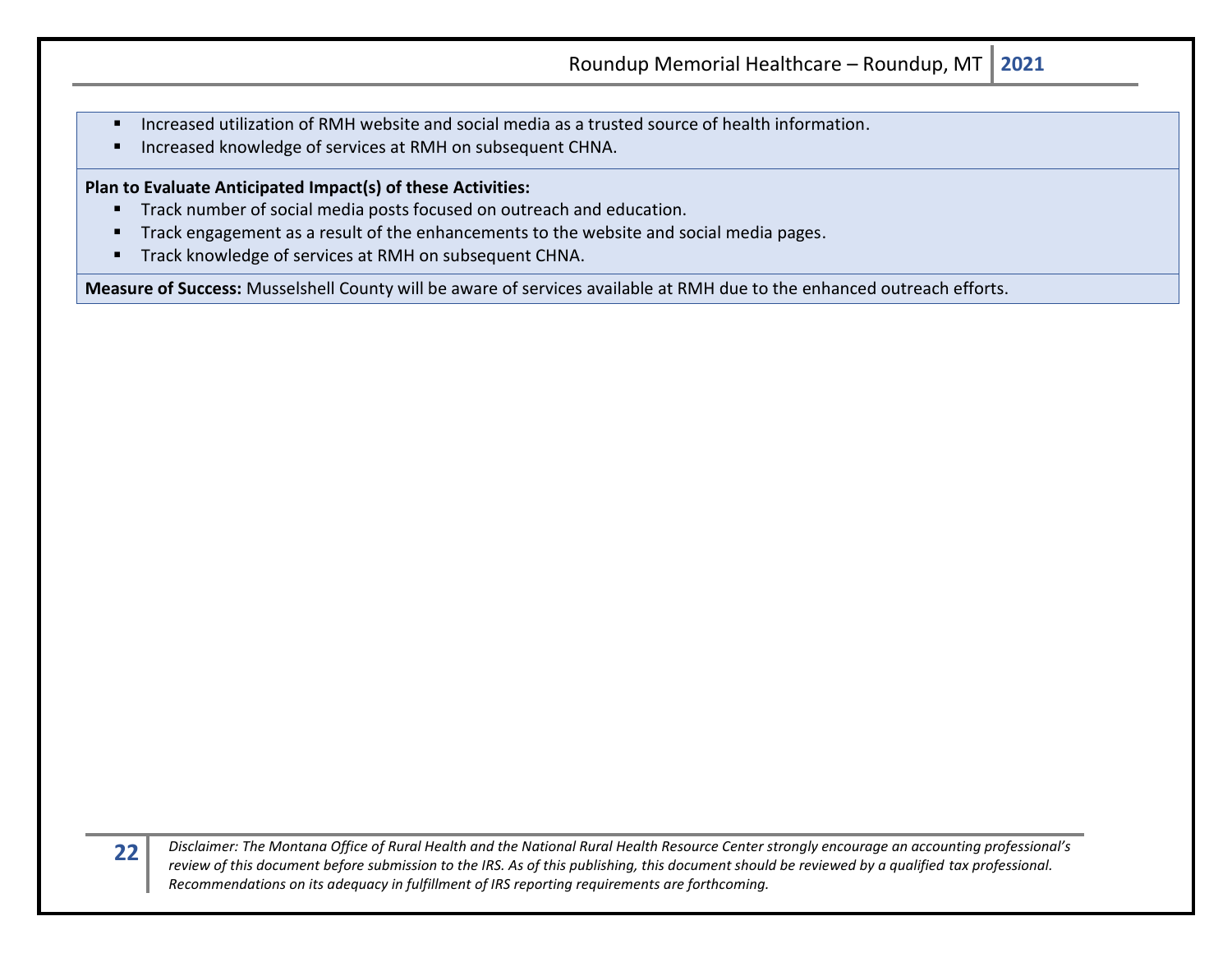- Increased utilization of RMH website and social media as a trusted source of health information.
- Increased knowledge of services at RMH on subsequent CHNA.

#### **Plan to Evaluate Anticipated Impact(s) of these Activities:**

- Track number of social media posts focused on outreach and education.
- Track engagement as a result of the enhancements to the website and social media pages.
- Track knowledge of services at RMH on subsequent CHNA.

**Measure of Success:** Musselshell County will be aware of services available at RMH due to the enhanced outreach efforts.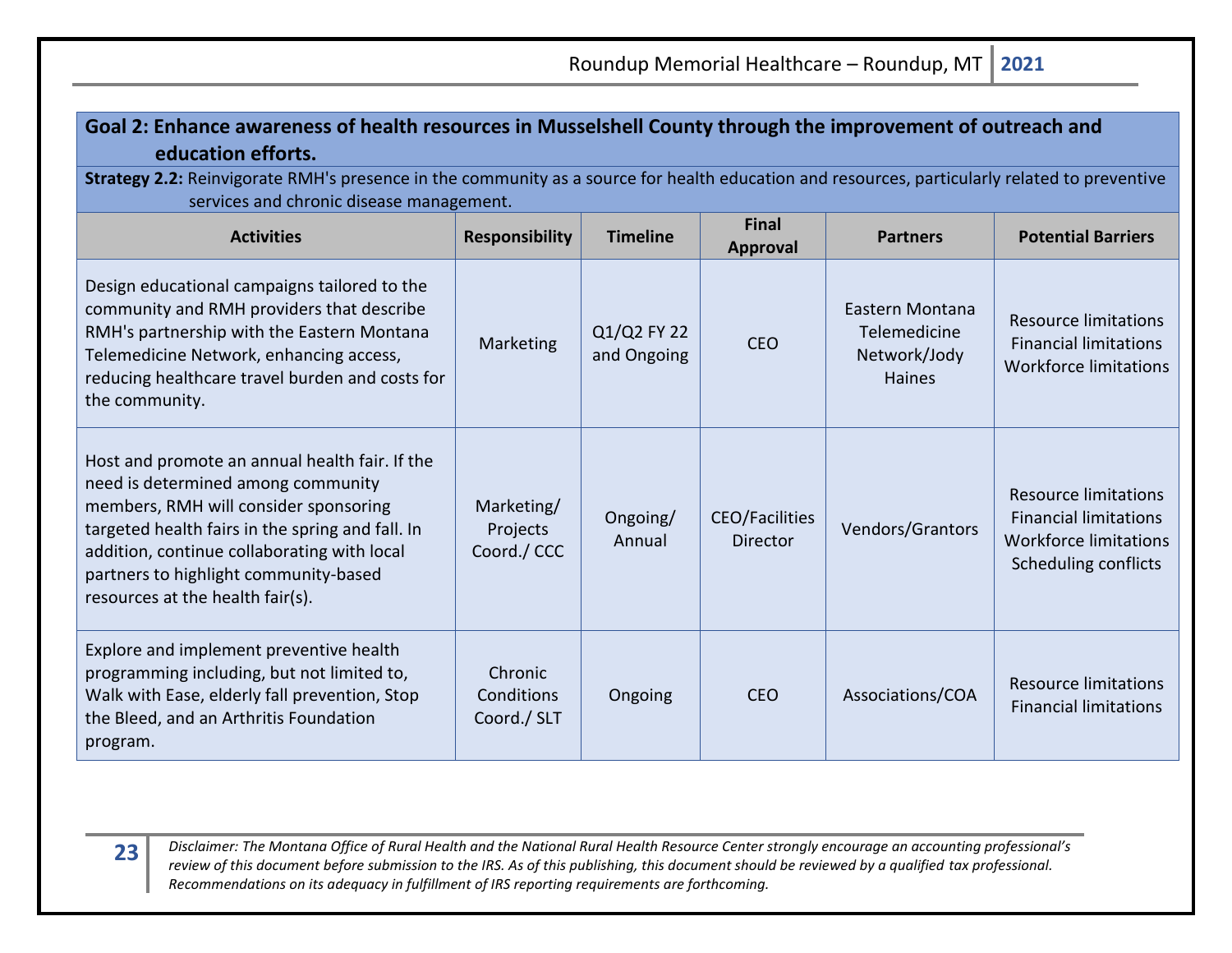## **Goal 2: Enhance awareness of health resources in Musselshell County through the improvement of outreach and education efforts.**

**Strategy 2.2:** Reinvigorate RMH's presence in the community as a source for health education and resources, particularly related to preventive services and chronic disease management.

| <b>Activities</b>                                                                                                                                                                                                                                                                                             | <b>Responsibility</b>                 | <b>Timeline</b>            | <b>Final</b><br>Approval                 | <b>Partners</b>                                                  | <b>Potential Barriers</b>                                                                                                  |
|---------------------------------------------------------------------------------------------------------------------------------------------------------------------------------------------------------------------------------------------------------------------------------------------------------------|---------------------------------------|----------------------------|------------------------------------------|------------------------------------------------------------------|----------------------------------------------------------------------------------------------------------------------------|
| Design educational campaigns tailored to the<br>community and RMH providers that describe<br>RMH's partnership with the Eastern Montana<br>Telemedicine Network, enhancing access,<br>reducing healthcare travel burden and costs for<br>the community.                                                       | Marketing                             | Q1/Q2 FY 22<br>and Ongoing | <b>CEO</b>                               | Eastern Montana<br>Telemedicine<br>Network/Jody<br><b>Haines</b> | <b>Resource limitations</b><br><b>Financial limitations</b><br><b>Workforce limitations</b>                                |
| Host and promote an annual health fair. If the<br>need is determined among community<br>members, RMH will consider sponsoring<br>targeted health fairs in the spring and fall. In<br>addition, continue collaborating with local<br>partners to highlight community-based<br>resources at the health fair(s). | Marketing/<br>Projects<br>Coord./ CCC | Ongoing/<br>Annual         | <b>CEO/Facilities</b><br><b>Director</b> | Vendors/Grantors                                                 | <b>Resource limitations</b><br><b>Financial limitations</b><br><b>Workforce limitations</b><br><b>Scheduling conflicts</b> |
| Explore and implement preventive health<br>programming including, but not limited to,<br>Walk with Ease, elderly fall prevention, Stop<br>the Bleed, and an Arthritis Foundation<br>program.                                                                                                                  | Chronic<br>Conditions<br>Coord./ SLT  | Ongoing                    | <b>CEO</b>                               | Associations/COA                                                 | <b>Resource limitations</b><br><b>Financial limitations</b>                                                                |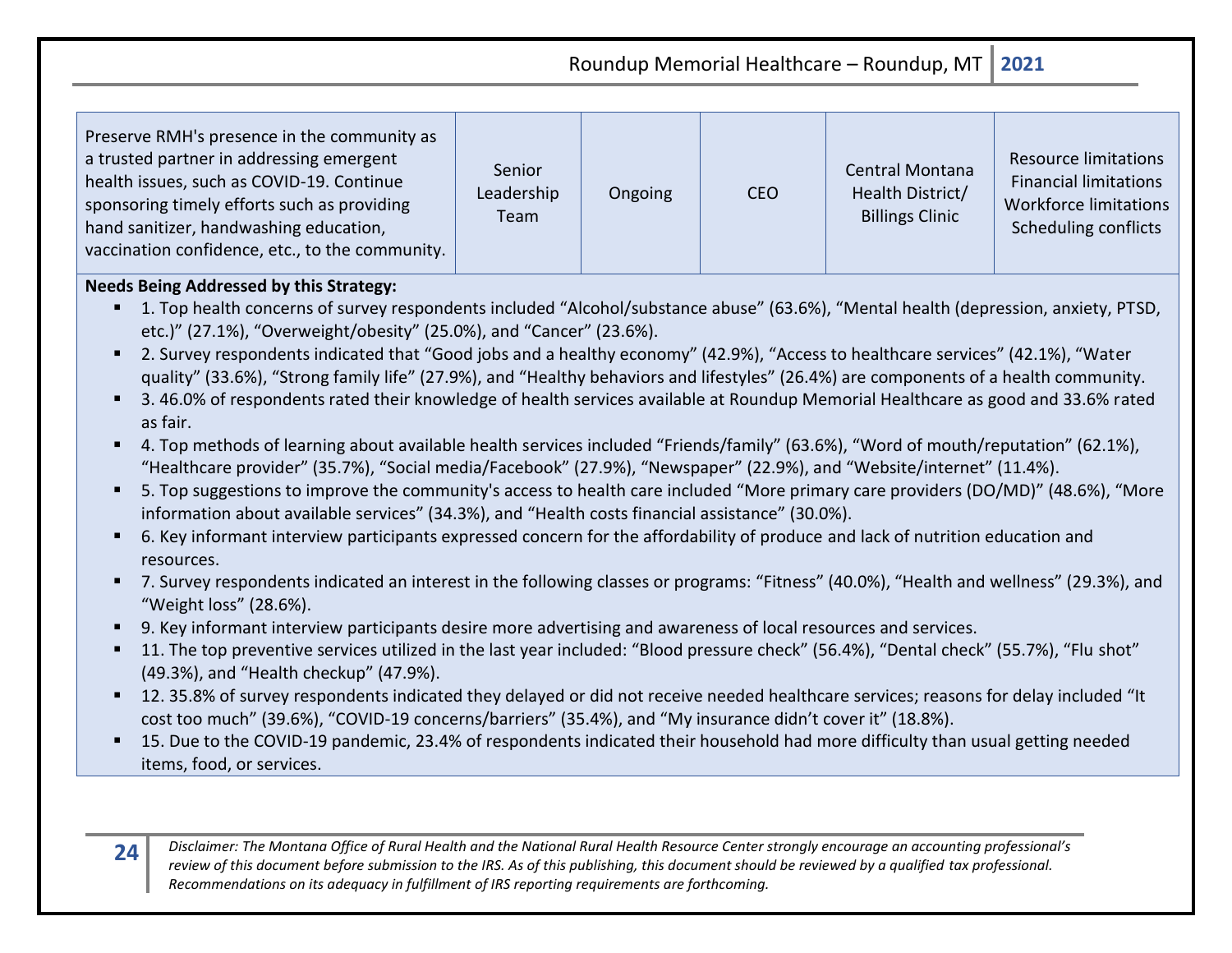Roundup Memorial Healthcare – Roundup, MT **2021** Preserve RMH's presence in the community as a trusted partner in addressing emergent health issues, such as COVID-19. Continue sponsoring timely efforts such as providing hand sanitizer, handwashing education, vaccination confidence, etc., to the community. Senior Leadership Team Ongoing CEO Central Montana Health District/ Billings Clinic Resource limitations Financial limitations Workforce limitations Scheduling conflicts

## **Needs Being Addressed by this Strategy:**

- 1. Top health concerns of survey respondents included "Alcohol/substance abuse" (63.6%), "Mental health (depression, anxiety, PTSD, etc.)" (27.1%), "Overweight/obesity" (25.0%), and "Cancer" (23.6%).
- 2. Survey respondents indicated that "Good jobs and a healthy economy" (42.9%), "Access to healthcare services" (42.1%), "Water quality" (33.6%), "Strong family life" (27.9%), and "Healthy behaviors and lifestyles" (26.4%) are components of a health community.
- 3.46.0% of respondents rated their knowledge of health services available at Roundup Memorial Healthcare as good and 33.6% rated as fair.
- 4. Top methods of learning about available health services included "Friends/family" (63.6%), "Word of mouth/reputation" (62.1%), "Healthcare provider" (35.7%), "Social media/Facebook" (27.9%), "Newspaper" (22.9%), and "Website/internet" (11.4%).
- 5. Top suggestions to improve the community's access to health care included "More primary care providers (DO/MD)" (48.6%), "More information about available services" (34.3%), and "Health costs financial assistance" (30.0%).
- 6. Key informant interview participants expressed concern for the affordability of produce and lack of nutrition education and resources.
- 7. Survey respondents indicated an interest in the following classes or programs: "Fitness" (40.0%), "Health and wellness" (29.3%), and "Weight loss" (28.6%).
- 9. Key informant interview participants desire more advertising and awareness of local resources and services.
- 11. The top preventive services utilized in the last year included: "Blood pressure check" (56.4%), "Dental check" (55.7%), "Flu shot" (49.3%), and "Health checkup" (47.9%).
- 12. 35.8% of survey respondents indicated they delayed or did not receive needed healthcare services; reasons for delay included "It cost too much" (39.6%), "COVID-19 concerns/barriers" (35.4%), and "My insurance didn't cover it" (18.8%).
- 15. Due to the COVID-19 pandemic, 23.4% of respondents indicated their household had more difficulty than usual getting needed items, food, or services.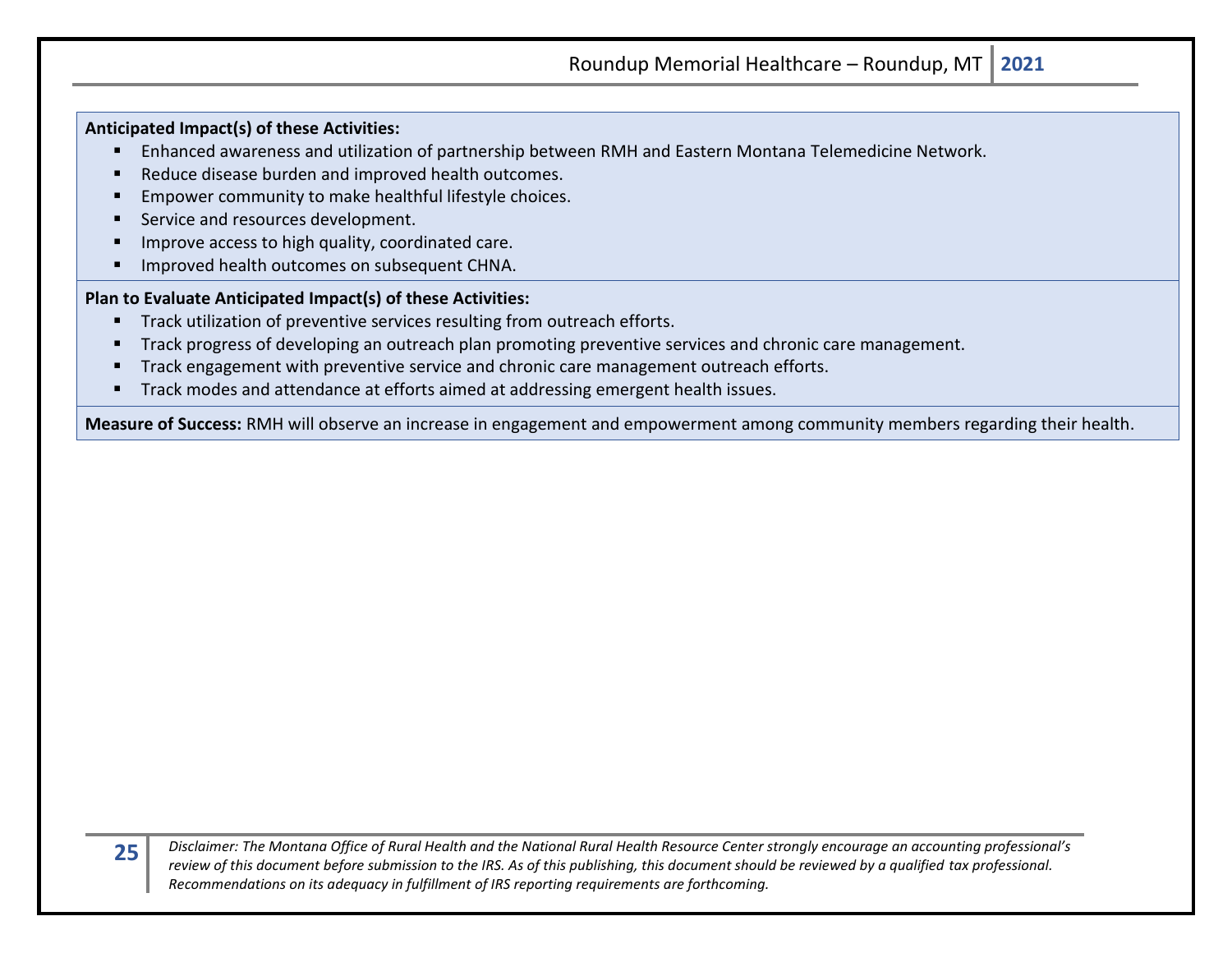**Anticipated Impact(s) of these Activities:**

- Enhanced awareness and utilization of partnership between RMH and Eastern Montana Telemedicine Network.
- Reduce disease burden and improved health outcomes.
- Empower community to make healthful lifestyle choices.
- Service and resources development.
- Improve access to high quality, coordinated care.
- Improved health outcomes on subsequent CHNA.

**Plan to Evaluate Anticipated Impact(s) of these Activities:**

- Track utilization of preventive services resulting from outreach efforts.
- Track progress of developing an outreach plan promoting preventive services and chronic care management.
- Track engagement with preventive service and chronic care management outreach efforts.
- Track modes and attendance at efforts aimed at addressing emergent health issues.

**Measure of Success:** RMH will observe an increase in engagement and empowerment among community members regarding their health.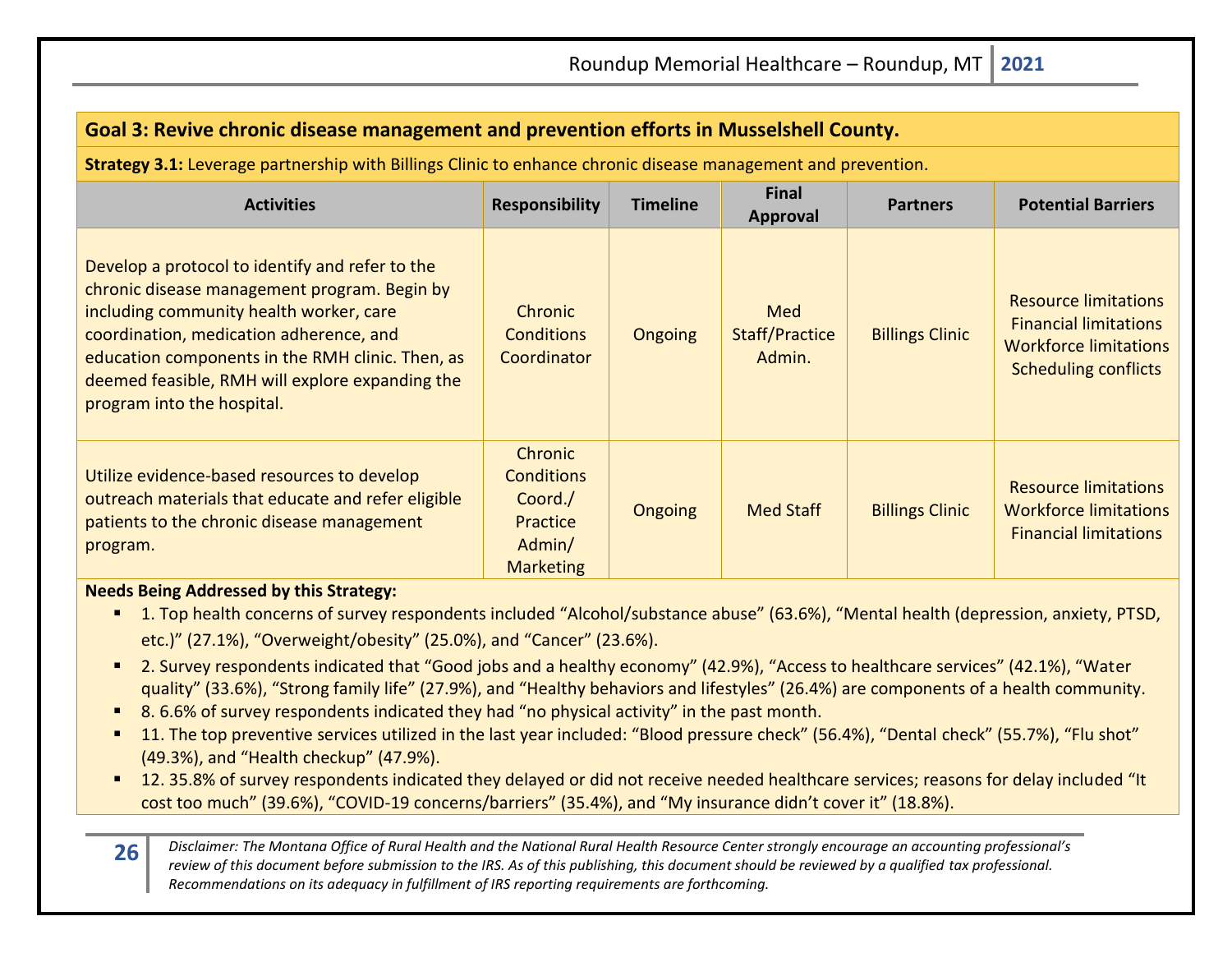| Goal 3: Revive chronic disease management and prevention efforts in Musselshell County.                                                                                                                                                                                                                                    |                                                                                   |                 |                                        |                        |                                                                                                                            |  |  |
|----------------------------------------------------------------------------------------------------------------------------------------------------------------------------------------------------------------------------------------------------------------------------------------------------------------------------|-----------------------------------------------------------------------------------|-----------------|----------------------------------------|------------------------|----------------------------------------------------------------------------------------------------------------------------|--|--|
| Strategy 3.1: Leverage partnership with Billings Clinic to enhance chronic disease management and prevention.                                                                                                                                                                                                              |                                                                                   |                 |                                        |                        |                                                                                                                            |  |  |
| <b>Activities</b>                                                                                                                                                                                                                                                                                                          | <b>Responsibility</b>                                                             | <b>Timeline</b> | <b>Final</b><br><b>Approval</b>        | <b>Partners</b>        | <b>Potential Barriers</b>                                                                                                  |  |  |
| Develop a protocol to identify and refer to the<br>chronic disease management program. Begin by<br>including community health worker, care<br>coordination, medication adherence, and<br>education components in the RMH clinic. Then, as<br>deemed feasible, RMH will explore expanding the<br>program into the hospital. | Chronic<br><b>Conditions</b><br>Coordinator                                       | <b>Ongoing</b>  | Med<br><b>Staff/Practice</b><br>Admin. | <b>Billings Clinic</b> | <b>Resource limitations</b><br><b>Financial limitations</b><br><b>Workforce limitations</b><br><b>Scheduling conflicts</b> |  |  |
| Utilize evidence-based resources to develop<br>outreach materials that educate and refer eligible<br>patients to the chronic disease management<br>program.                                                                                                                                                                | Chronic<br><b>Conditions</b><br>Coord./<br>Practice<br>Admin/<br><b>Marketing</b> | Ongoing         | <b>Med Staff</b>                       | <b>Billings Clinic</b> | <b>Resource limitations</b><br><b>Workforce limitations</b><br><b>Financial limitations</b>                                |  |  |

#### **Needs Being Addressed by this Strategy:**

- 1. Top health concerns of survey respondents included "Alcohol/substance abuse" (63.6%), "Mental health (depression, anxiety, PTSD, etc.)" (27.1%), "Overweight/obesity" (25.0%), and "Cancer" (23.6%).
- 2. Survey respondents indicated that "Good jobs and a healthy economy" (42.9%), "Access to healthcare services" (42.1%), "Water quality" (33.6%), "Strong family life" (27.9%), and "Healthy behaviors and lifestyles" (26.4%) are components of a health community.
- 8.6.6% of survey respondents indicated they had "no physical activity" in the past month.
- 11. The top preventive services utilized in the last year included: "Blood pressure check" (56.4%), "Dental check" (55.7%), "Flu shot" (49.3%), and "Health checkup" (47.9%).
- 12. 35.8% of survey respondents indicated they delayed or did not receive needed healthcare services; reasons for delay included "It cost too much" (39.6%), "COVID-19 concerns/barriers" (35.4%), and "My insurance didn't cover it" (18.8%).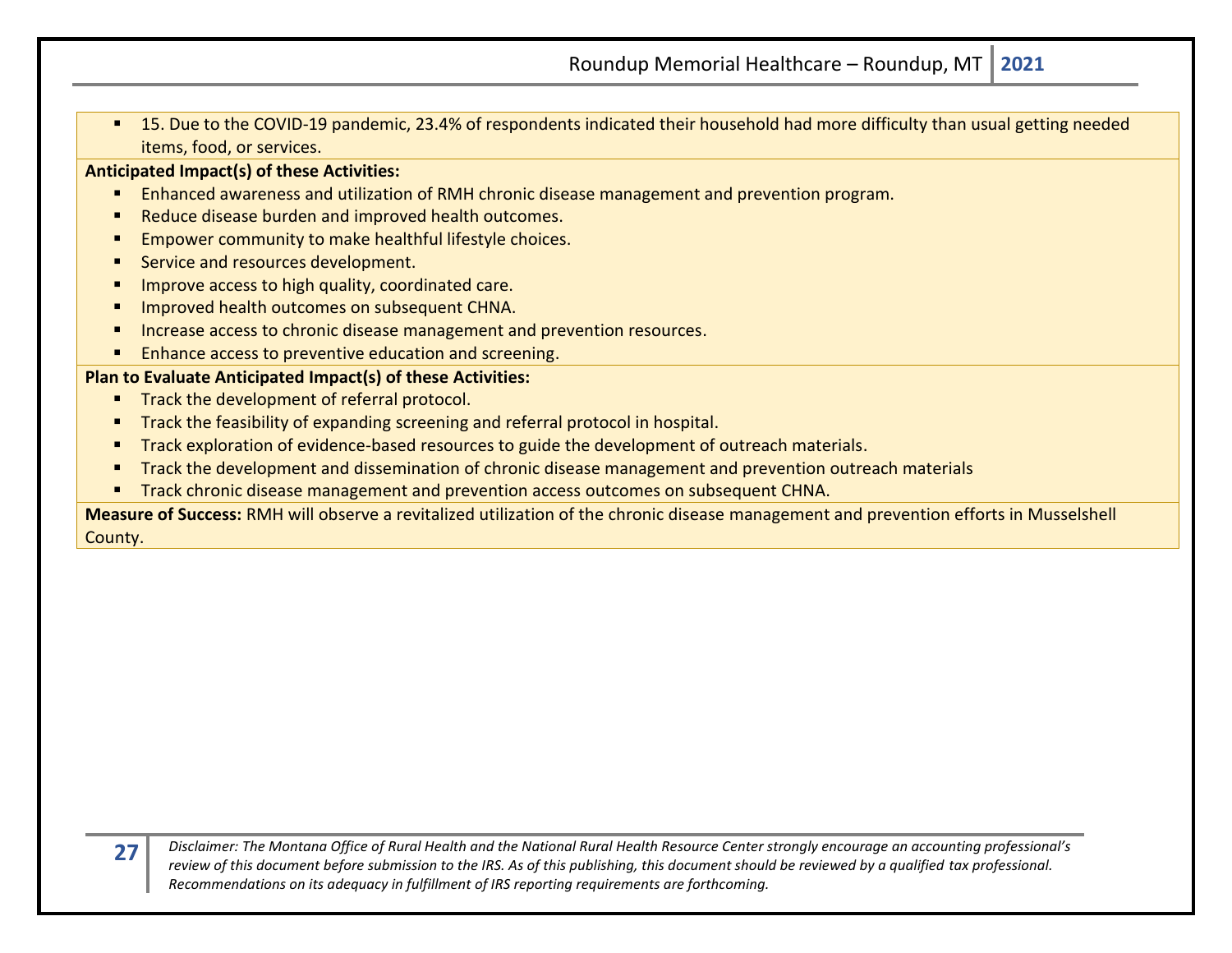■ 15. Due to the COVID-19 pandemic, 23.4% of respondents indicated their household had more difficulty than usual getting needed items, food, or services.

#### **Anticipated Impact(s) of these Activities:**

- Enhanced awareness and utilization of RMH chronic disease management and prevention program.
- Reduce disease burden and improved health outcomes.
- Empower community to make healthful lifestyle choices.
- Service and resources development.
- Improve access to high quality, coordinated care.
- **Improved health outcomes on subsequent CHNA.**
- Increase access to chronic disease management and prevention resources.
- Enhance access to preventive education and screening.

#### **Plan to Evaluate Anticipated Impact(s) of these Activities:**

- **■** Track the development of referral protocol.
- **Track the feasibility of expanding screening and referral protocol in hospital.**
- **Track exploration of evidence-based resources to guide the development of outreach materials.**
- Track the development and dissemination of chronic disease management and prevention outreach materials
- **E** Track chronic disease management and prevention access outcomes on subsequent CHNA.

**Measure of Success:** RMH will observe a revitalized utilization of the chronic disease management and prevention efforts in Musselshell County.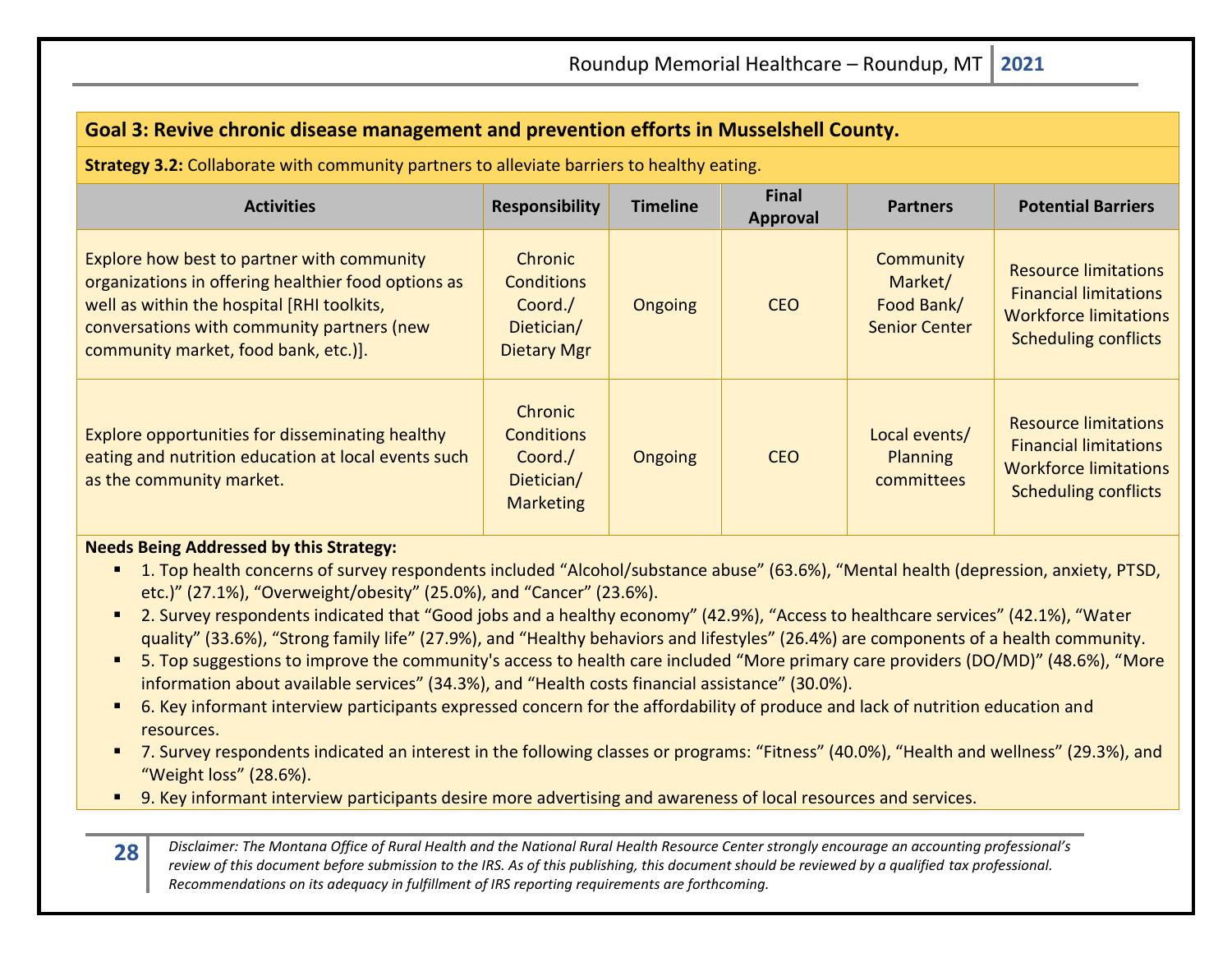| Goal 3: Revive chronic disease management and prevention efforts in Musselshell County.                                                                                                                                               |                                                                                    |                 |                          |                                                            |                                                                                                                            |  |  |
|---------------------------------------------------------------------------------------------------------------------------------------------------------------------------------------------------------------------------------------|------------------------------------------------------------------------------------|-----------------|--------------------------|------------------------------------------------------------|----------------------------------------------------------------------------------------------------------------------------|--|--|
| Strategy 3.2: Collaborate with community partners to alleviate barriers to healthy eating.                                                                                                                                            |                                                                                    |                 |                          |                                                            |                                                                                                                            |  |  |
| <b>Activities</b>                                                                                                                                                                                                                     | <b>Responsibility</b>                                                              | <b>Timeline</b> | <b>Final</b><br>Approval | <b>Partners</b>                                            | <b>Potential Barriers</b>                                                                                                  |  |  |
| Explore how best to partner with community<br>organizations in offering healthier food options as<br>well as within the hospital [RHI toolkits,<br>conversations with community partners (new<br>community market, food bank, etc.)]. | <b>Chronic</b><br><b>Conditions</b><br>Coord./<br>Dietician/<br><b>Dietary Mgr</b> | <b>Ongoing</b>  | <b>CEO</b>               | Community<br>Market/<br>Food Bank/<br><b>Senior Center</b> | <b>Resource limitations</b><br><b>Financial limitations</b><br><b>Workforce limitations</b><br><b>Scheduling conflicts</b> |  |  |
| Explore opportunities for disseminating healthy<br>eating and nutrition education at local events such<br>as the community market.                                                                                                    | Chronic<br><b>Conditions</b><br>Coord./<br>Dietician/<br><b>Marketing</b>          | Ongoing         | <b>CEO</b>               | Local events/<br><b>Planning</b><br><b>committees</b>      | <b>Resource limitations</b><br><b>Financial limitations</b><br><b>Workforce limitations</b><br><b>Scheduling conflicts</b> |  |  |

#### **Needs Being Addressed by this Strategy:**

- 1. Top health concerns of survey respondents included "Alcohol/substance abuse" (63.6%), "Mental health (depression, anxiety, PTSD, etc.)" (27.1%), "Overweight/obesity" (25.0%), and "Cancer" (23.6%).
- 2. Survey respondents indicated that "Good jobs and a healthy economy" (42.9%), "Access to healthcare services" (42.1%), "Water quality" (33.6%), "Strong family life" (27.9%), and "Healthy behaviors and lifestyles" (26.4%) are components of a health community.
- 5. Top suggestions to improve the community's access to health care included "More primary care providers (DO/MD)" (48.6%), "More information about available services" (34.3%), and "Health costs financial assistance" (30.0%).
- 6. Key informant interview participants expressed concern for the affordability of produce and lack of nutrition education and resources.
- 7. Survey respondents indicated an interest in the following classes or programs: "Fitness" (40.0%), "Health and wellness" (29.3%), and "Weight loss" (28.6%).
- 9. Key informant interview participants desire more advertising and awareness of local resources and services.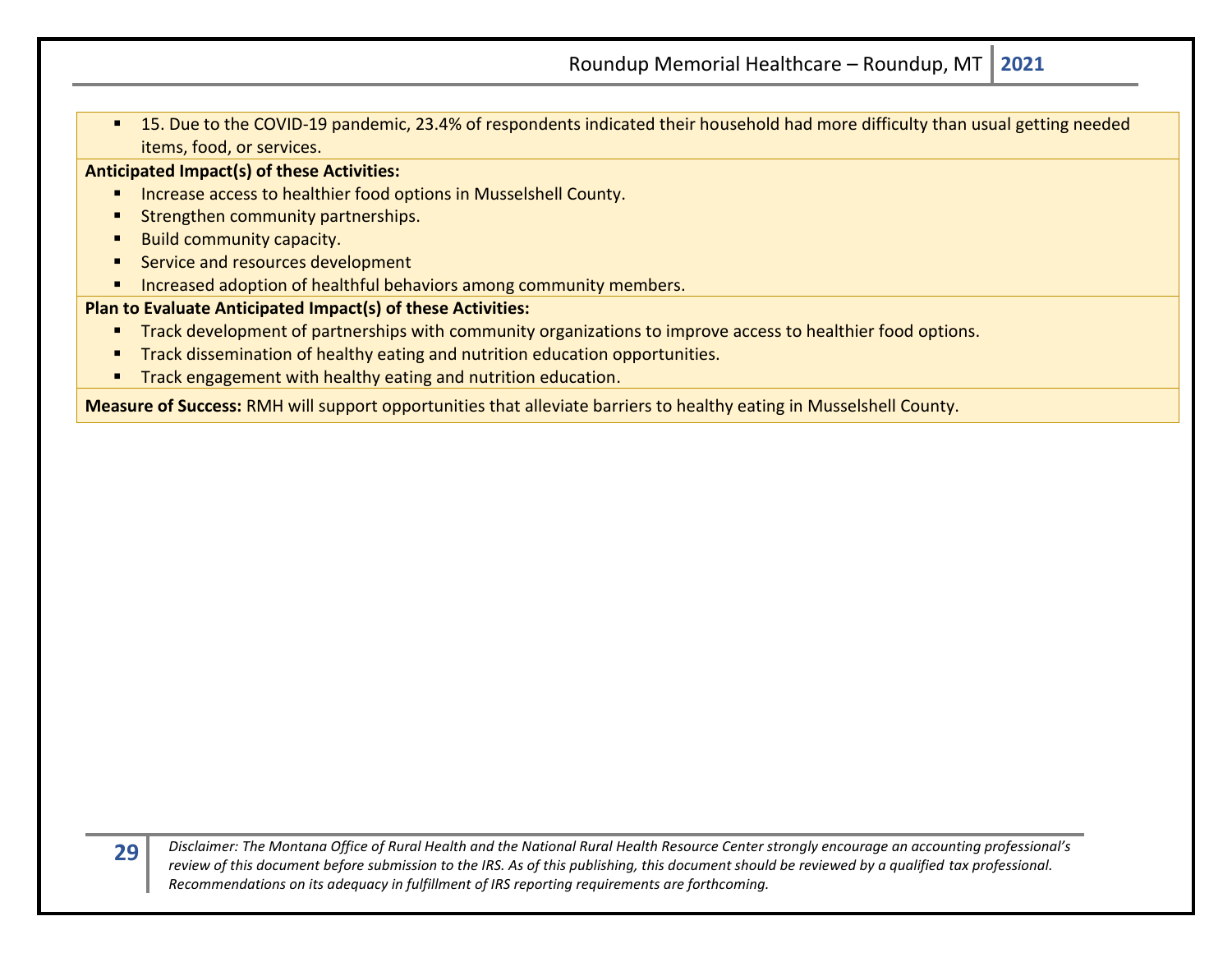■ 15. Due to the COVID-19 pandemic, 23.4% of respondents indicated their household had more difficulty than usual getting needed items, food, or services.

**Anticipated Impact(s) of these Activities:**

- Increase access to healthier food options in Musselshell County.
- **E** Strengthen community partnerships.
- Build community capacity.
- Service and resources development
- Increased adoption of healthful behaviors among community members.

#### **Plan to Evaluate Anticipated Impact(s) of these Activities:**

- **Track development of partnerships with community organizations to improve access to healthier food options.**
- **■** Track dissemination of healthy eating and nutrition education opportunities.
- Track engagement with healthy eating and nutrition education.

**Measure of Success:** RMH will support opportunities that alleviate barriers to healthy eating in Musselshell County.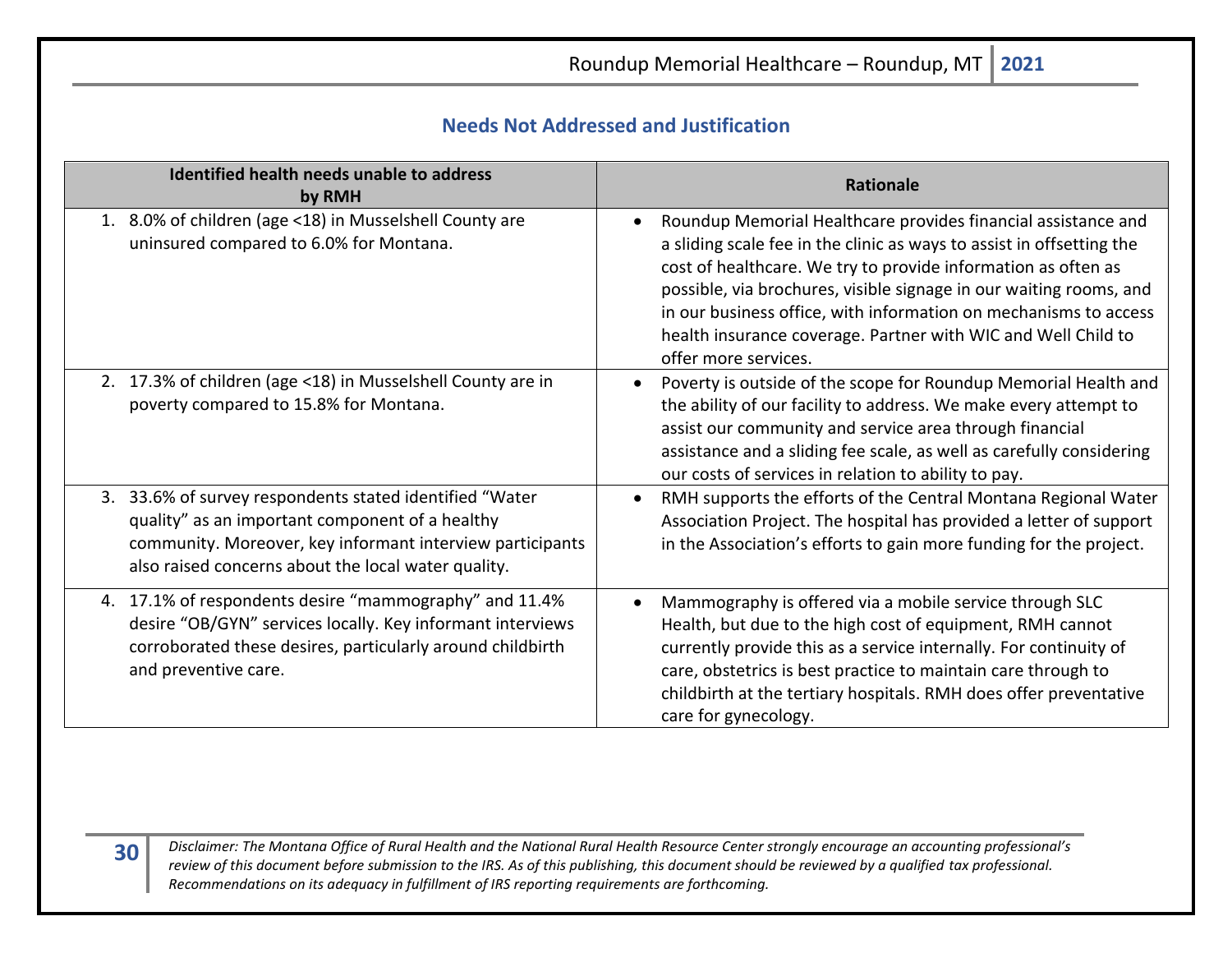<span id="page-29-0"></span>Roundup Memorial Healthcare – Roundup, MT **2021 Needs Not Addressed and Justification Identified health needs unable to address by RMH Rationale**<br>by RMH 1. 8.0% of children (age <18) in Musselshell County are uninsured compared to 6.0% for Montana. • Roundup Memorial Healthcare provides financial assistance and a sliding scale fee in the clinic as ways to assist in offsetting the cost of healthcare. We try to provide information as often as possible, via brochures, visible signage in our waiting rooms, and in our business office, with information on mechanisms to access health insurance coverage. Partner with WIC and Well Child to offer more services. 2. 17.3% of children (age <18) in Musselshell County are in poverty compared to 15.8% for Montana. • Poverty is outside of the scope for Roundup Memorial Health and the ability of our facility to address. We make every attempt to assist our community and service area through financial assistance and a sliding fee scale, as well as carefully considering our costs of services in relation to ability to pay. 3. 33.6% of survey respondents stated identified "Water quality" as an important component of a healthy community. Moreover, key informant interview participants also raised concerns about the local water quality. • RMH supports the efforts of the Central Montana Regional Water Association Project. The hospital has provided a letter of support in the Association's efforts to gain more funding for the project. 4. 17.1% of respondents desire "mammography" and 11.4% desire "OB/GYN" services locally. Key informant interviews corroborated these desires, particularly around childbirth and preventive care. • Mammography is offered via a mobile service through SLC Health, but due to the high cost of equipment, RMH cannot currently provide this as a service internally. For continuity of care, obstetrics is best practice to maintain care through to childbirth at the tertiary hospitals. RMH does offer preventative care for gynecology.